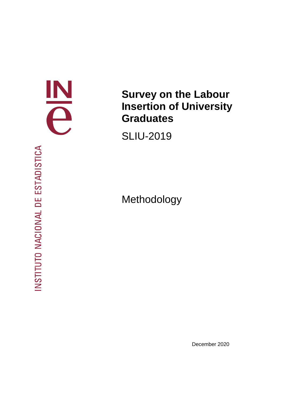

# **Survey on the Labour Insertion of University Graduates**

SLIU-2019

Methodology

INSTITUTO NACIONAL DE ESTADISTICA

December 2020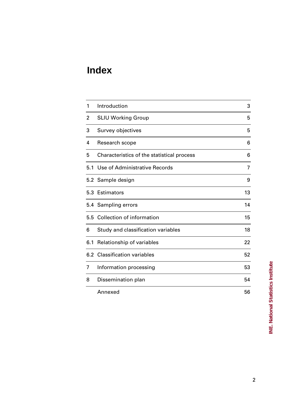# **Index**

| 1   | Introduction                               | 3  |
|-----|--------------------------------------------|----|
| 2   | <b>SLIU Working Group</b>                  | 5  |
| 3   | Survey objectives                          | 5  |
| 4   | Research scope                             | 6  |
| 5   | Characteristics of the statistical process | 6  |
| 5.1 | Use of Administrative Records              | 7  |
|     | 5.2 Sample design                          | 9  |
|     | 5.3 Estimators                             | 13 |
|     | 5.4 Sampling errors                        | 14 |
|     | 5.5 Collection of information              | 15 |
| 6   | Study and classification variables         | 18 |
| 6.1 | Relationship of variables                  | 22 |
| 6.2 | <b>Classification variables</b>            | 52 |
| 7   | Information processing                     | 53 |
| 8   | Dissemination plan                         | 54 |
|     | Annexed                                    | 56 |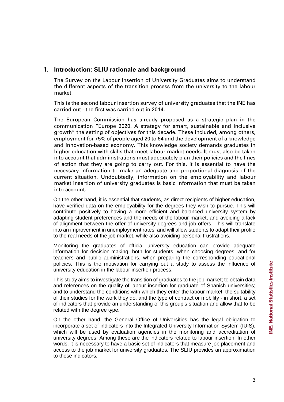The Survey on the Labour Insertion of University Graduates aims to understand the different aspects of the transition process from the university to the labour market.

This is the second labour insertion survey of university graduates that the INE has carried out - the first was carried out in 2014.

The European Commission has already proposed as a strategic plan in the communication "Europe 2020. A strategy for smart, sustainable and inclusive growth" the setting of objectives for this decade. These included, among others, employment for 75% of people aged 20 to 64 and the development of a knowledge and innovation-based economy. This knowledge society demands graduates in higher education with skills that meet labour market needs. It must also be taken into account that administrations must adequately plan their policies and the lines of action that they are going to carry out. For this, it is essential to have the necessary information to make an adequate and proportional diagnosis of the current situation. Undoubtedly, information on the employability and labour market insertion of university graduates is basic information that must be taken into account.

On the other hand, it is essential that students, as direct recipients of higher education, have verified data on the employability for the degrees they wish to pursue. This will contribute positively to having a more efficient and balanced university system by adapting student preferences and the needs of the labour market, and avoiding a lack of alignment between the offer of university degrees and job offers. This will translate into an improvement in unemployment rates, and will allow students to adapt their profile to the real needs of the job market, while also avoiding personal frustrations.

Monitoring the graduates of official university education can provide adequate information for decision-making, both for students, when choosing degrees, and for teachers and public administrations, when preparing the corresponding educational policies. This is the motivation for carrying out a study to assess the influence of university education in the labour insertion process.

This study aims to investigate the transition of graduates to the job market; to obtain data and references on the quality of labour insertion for graduate of Spanish universities; and to understand the conditions with which they enter the labour market, the suitability of their studies for the work they do, and the type of contract or mobility - in short, a set of indicators that provide an understanding of this group's situation and allow that to be related with the degree type.

On the other hand, the General Office of Universities has the legal obligation to incorporate a set of indicators into the Integrated University Information System (IUIS), which will be used by evaluation agencies in the monitoring and accreditation of university degrees. Among these are the indicators related to labour insertion. In other words, it is necessary to have a basic set of indicators that measure job placement and access to the job market for university graduates. The SLIU provides an approximation to these indicators.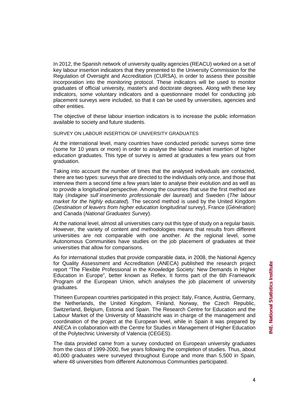In 2012, the Spanish network of university quality agencies (REACU) worked on a set of key labour insertion indicators that they presented to the University Commission for the Regulation of Oversight and Accreditation (CURSA), in order to assess their possible incorporation into the monitoring protocol. These indicators will be used to monitor graduates of official university, master's and doctorate degrees. Along with these key indicators, some voluntary indicators and a questionnaire model for conducting job placement surveys were included, so that it can be used by universities, agencies and other entities.

The objective of these labour insertion indicators is to increase the public information available to society and future students.

SURVEY ON LABOUR INSERTION OF UNIVERSITY GRADUATES

At the international level, many countries have conducted periodic surveys some time (some for 10 years or more) in order to analyse the labour market insertion of higher education graduates. This type of survey is aimed at graduates a few years out from graduation.

Taking into account the number of times that the analysed individuals are contacted, there are two types: surveys that are directed to the individuals only once, and those that interview them a second time a few years later to analyse their evolution and as well as to provide a longitudinal perspective. Among the countries that use the first method are Italy (*Indagine sull´inserimento professionale dei laureati*) and Sweden (*The labour market for the highly educated*). The second method is used by the United Kingdom (*Destination of leavers from higher education longitudinal survey*), France (*Génération*) and Canada (*National Graduates Survey*).

At the national level, almost all universities carry out this type of study on a regular basis. However, the variety of content and methodologies means that results from different universities are not comparable with one another. At the regional level, some Autonomous Communities have studies on the job placement of graduates at their universities that allow for comparisons.

As for international studies that provide comparable data, in 2008, the National Agency for Quality Assessment and Accreditation (ANECA) published the research project report "The Flexible Professional in the Knowledge Society: New Demands in Higher Education in Europe", better known as Reflex. It forms part of the 6th Framework Program of the European Union, which analyses the job placement of university graduates.

Thirteen European countries participated in this project: Italy, France, Austria, Germany, the Netherlands, the United Kingdom, Finland, Norway, the Czech Republic, Switzerland, Belgium, Estonia and Spain. The Research Centre for Education and the Labour Market of the University of Maastricht was in charge of the management and coordination of the project at the European level, while in Spain it was prepared by ANECA in collaboration with the Centre for Studies in Management of Higher Education of the Polytechnic University of Valencia (CEGES).

The data provided came from a survey conducted on European university graduates from the class of 1999-2000, five years following the completion of studies. Thus, about 40,000 graduates were surveyed throughout Europe and more than 5,500 in Spain, where 48 universities from different Autonomous Communities participated.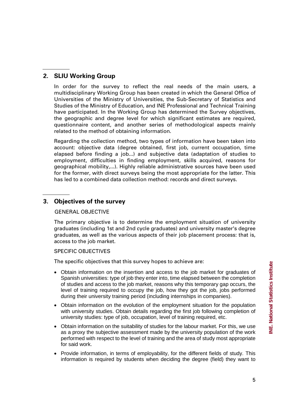# **2. SLIU Working Group**

In order for the survey to reflect the real needs of the main users, a multidisciplinary Working Group has been created in which the General Office of Universities of the Ministry of Universities, the Sub-Secretary of Statistics and Studies of the Ministry of Education, and INE Professional and Technical Training have participated. In the Working Group has determined the Survey objectives, the geographic and degree level for which significant estimates are required, questionnaire content, and another series of methodological aspects mainly related to the method of obtaining information.

Regarding the collection method, two types of information have been taken into account: objective data (degree obtained, first job, current occupation, time elapsed before finding a job...) and subjective data (adaptation of studies to employment, difficulties in finding employment, skills acquired, reasons for geographical mobility,...). Highly reliable administrative sources have been used for the former, with direct surveys being the most appropriate for the latter. This has led to a combined data collection method: records and direct surveys.

# **3. Objectives of the survey**

## GENERAL OBJECTIVE

The primary objective is to determine the employment situation of university graduates (including 1st and 2nd cycle graduates) and university master's degree graduates, as well as the various aspects of their job placement process: that is, access to the job market.

# SPECIFIC OBJECTIVES

The specific objectives that this survey hopes to achieve are:

- Obtain information on the insertion and access to the job market for graduates of Spanish universities: type of job they enter into, time elapsed between the completion of studies and access to the job market, reasons why this temporary gap occurs, the level of training required to occupy the job, how they got the job, jobs performed during their university training period (including internships in companies).
- Obtain information on the evolution of the employment situation for the population with university studies. Obtain details regarding the first job following completion of university studies: type of job, occupation, level of training required, etc.
- Obtain information on the suitability of studies for the labour market. For this, we use as a proxy the subjective assessment made by the university population of the work performed with respect to the level of training and the area of study most appropriate for said work.
- Provide information, in terms of employability, for the different fields of study. This information is required by students when deciding the degree (field) they want to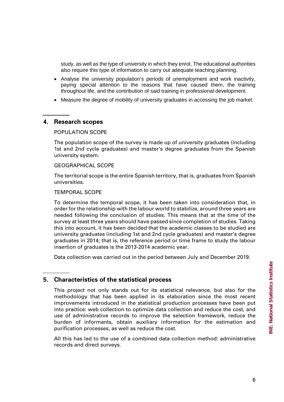study, as well as the type of university in which they enrol. The educational authorities also require this type of information to carry out adequate teaching planning.

- Analyse the university population's periods of unemployment and work inactivity, paying special attention to the reasons that have caused them, the training throughout life, and the contribution of said training in professional development.
- Measure the degree of mobility of university graduates in accessing the job market.

# **4. Research scopes**

#### POPULATION SCOPE

The population scope of the survey is made up of university graduates (including 1st and 2nd cycle graduates) and master's degree graduates from the Spanish university system.

## GEOGRAPHICAL SCOPE

The territorial scope is the entire Spanish territory, that is, graduates from Spanish universities.

#### TEMPORAL SCOPE

To determine the temporal scope, it has been taken into consideration that, in order for the relationship with the labour world to stabilize, around three years are needed following the conclusion of studies. This means that at the time of the survey at least three years should have passed since completion of studies. Taking this into account, it has been decided that the academic classes to be studied are university graduates (including 1st and 2nd cycle graduates) and master's degree graduates in 2014; that is, the reference period or time frame to study the labour insertion of graduates is the 2013-2014 academic year.

Data collection was carried out in the period between July and December 2019.

# **5. Characteristics of the statistical process**

This project not only stands out for its statistical relevance, but also for the methodology that has been applied in its elaboration since the most recent improvements introduced in the statistical production processes have been put into practice: web collection to optimize data collection and reduce the cost, and use of administrative records to improve the selection framework, reduce the burden of informants, obtain auxiliary information for the estimation and purification processes, as well as reduce the cost.

All this has led to the use of a combined data collection method: administrative records and direct surveys.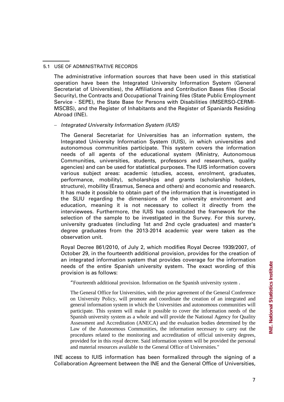#### 5.1 USE OF ADMINISTRATIVE RECORDS

The administrative information sources that have been used in this statistical operation have been the Integrated University Information System (General Secretariat of Universities), the Affiliations and Contribution Bases files (Social Security), the Contracts and Occupational Training files (State Public Employment Service - SEPE), the State Base for Persons with Disabilities (IMSERSO-CERMI-MSCBS), and the Register of Inhabitants and the Register of Spaniards Residing Abroad (INE).

#### − *Integrated University Information System (IUIS)*

The General Secretariat for Universities has an information system, the Integrated University Information System (IUIS), in which universities and autonomous communities participate. This system covers the information needs of all agents of the educational system (Ministry, Autonomous Communities, universities, students, professors and researchers, quality agencies) and can be used for statistical purposes. The IUIS information covers various subject areas: academic (studies, access, enrolment, graduates, performance, mobility), scholarships and grants (scholarship holders, structure), mobility (Erasmus, Seneca and others) and economic and research. It has made it possible to obtain part of the information that is investigated in the SLIU regarding the dimensions of the university environment and education, meaning it is not necessary to collect it directly from the interviewees. Furthermore, the IUIS has constituted the framework for the selection of the sample to be investigated in the Survey. For this survey, university graduates (including 1st and 2nd cycle graduates) and master's degree graduates from the 2013-2014 academic year were taken as the observation unit.

Royal Decree 861/2010, of July 2, which modifies Royal Decree 1939/2007, of October 29, in the fourteenth additional provision, provides for the creation of an integrated information system that provides coverage for the information needs of the entire Spanish university system. The exact wording of this provision is as follows:

"Fourteenth additional provision. Information on the Spanish university system .

The General Office for Universities, with the prior agreement of the General Conference on University Policy, will promote and coordinate the creation of an integrated and general information system in which the Universities and autonomous communities will participate. This system will make it possible to cover the information needs of the Spanish university system as a whole and will provide the National Agency for Quality Assessment and Accreditation (ANECA) and the evaluation bodies determined by the Law of the Autonomous Communities, the information necessary to carry out the procedures related to the monitoring and accreditation of official university degrees, provided for in this royal decree. Said information system will be provided the personal and material resources available to the General Office of Universities."

INE access to IUIS information has been formalized through the signing of a Collaboration Agreement between the INE and the General Office of Universities,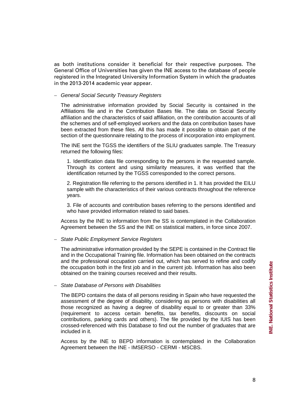as both institutions consider it beneficial for their respective purposes. The General Office of Universities has given the INE access to the database of people registered in the Integrated University Information System in which the graduates in the 2013-2014 academic year appear.

− *General Social Security Treasury Registers*

The administrative information provided by Social Security is contained in the Affiliations file and in the Contribution Bases file. The data on Social Security affiliation and the characteristics of said affiliation, on the contribution accounts of all the schemes and of self-employed workers and the data on contribution bases have been extracted from these files. All this has made it possible to obtain part of the section of the questionnaire relating to the process of incorporation into employment.

The INE sent the TGSS the identifiers of the SLIU graduates sample. The Treasury returned the following files:

1. Identification data file corresponding to the persons in the requested sample. Through its content and using similarity measures, it was verified that the identification returned by the TGSS corresponded to the correct persons.

2. Registration file referring to the persons identified in 1. It has provided the EILU sample with the characteristics of their various contracts throughout the reference years.

3. File of accounts and contribution bases referring to the persons identified and who have provided information related to said bases.

Access by the INE to information from the SS is contemplated in the Collaboration Agreement between the SS and the INE on statistical matters, in force since 2007.

− *State Public Employment Service Registers*

The administrative information provided by the SEPE is contained in the Contract file and in the Occupational Training file. Information has been obtained on the contracts and the professional occupation carried out, which has served to refine and codify the occupation both in the first job and in the current job. Information has also been obtained on the training courses received and their results.

− *State Database of Persons with Disabilities*

The BEPD contains the data of all persons residing in Spain who have requested the assessment of the degree of disability, considering as persons with disabilities all those recognized as having a degree of disability equal to or greater than 33% (requirement to access certain benefits, tax benefits, discounts on social contributions, parking cards and others). The file provided by the IUIS has been crossed-referenced with this Database to find out the number of graduates that are included in it.

Access by the INE to BEPD information is contemplated in the Collaboration Agreement between the INE - IMSERSO - CERMI - MSCBS.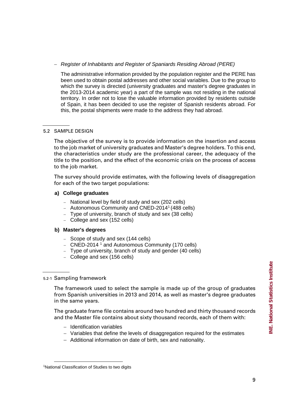# − *Register of Inhabitants and Register of Spaniards Residing Abroad (PERE)*

The administrative information provided by the population register and the PERE has been used to obtain postal addresses and other social variables. Due to the group to which the survey is directed (university graduates and master's degree graduates in the 2013-2014 academic year) a part of the sample was not residing in the national territory. In order not to lose the valuable information provided by residents outside of Spain, it has been decided to use the register of Spanish residents abroad. For this, the postal shipments were made to the address they had abroad.

# 5.2 SAMPLE DESIGN

The objective of the survey is to provide information on the insertion and access to the job market of university graduates and Master's degree holders. To this end, the characteristics under study are the professional career, the adequacy of the title to the position, and the effect of the economic crisis on the process of access to the job market.

The survey should provide estimates, with the following levels of disaggregation for each of the two target populations:

## **a) College graduates**

- − National level by field of study and sex (202 cells)
- − Autonomous Community and CNED-2014[1](#page-8-0) (488 cells)
- − Type of university, branch of study and sex (38 cells)
- − College and sex (152 cells)

## **b) Master's degrees**

- − Scope of study and sex (144 cells)
- − CNED-2014 1 and Autonomous Community (170 cells)
- − Type of university, branch of study and gender (40 cells)
- − College and sex (156 cells)

# 5.2-1 Sampling framework

The framework used to select the sample is made up of the group of graduates from Spanish universities in 2013 and 2014, as well as master's degree graduates in the same years.

The graduate frame file contains around two hundred and thirty thousand records and the Master file contains about sixty thousand records, each of them with:

- − Identification variables
- − Variables that define the levels of disaggregation required for the estimates
- − Additional information on date of birth, sex and nationality.

<span id="page-8-0"></span><sup>-</sup><sup>1</sup>National Classification of Studies to two digits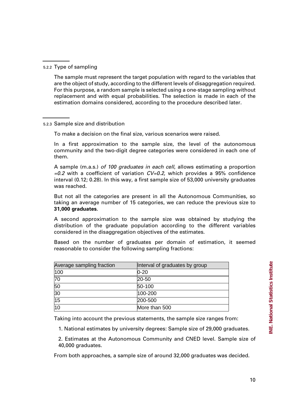The sample must represent the target population with regard to the variables that are the object of study, according to the different levels of disaggregation required. For this purpose, a random sample is selected using a one-stage sampling without replacement and with equal probabilities. The selection is made in each of the estimation domains considered, according to the procedure described later.

To make a decision on the final size, various scenarios were raised.

In a first approximation to the sample size, the level of the autonomous community and the two-digit degree categories were considered in each one of them.

A sample (m.a.s.) *of 100 graduates in each cell*, allows estimating a proportion *=0.2* with a coefficient of variation *CV=0.2*, which provides a 95% confidence interval (0.12; 0.28). In this way, a first sample size of 53,000 university graduates was reached.

But not all the categories are present in all the Autonomous Communities, so taking an average number of 15 categories, we can reduce the previous size to **31,000 graduates**.

A second approximation to the sample size was obtained by studying the distribution of the graduate population according to the different variables considered in the disaggregation objectives of the estimates.

Based on the number of graduates per domain of estimation, it seemed reasonable to consider the following sampling fractions:

| Average sampling fraction | Interval of graduates by group |
|---------------------------|--------------------------------|
| 100                       | $0 - 20$                       |
| 70                        | $20 - 50$                      |
| 50                        | 50-100                         |
| 30                        | 100-200                        |
| 15                        | 200-500                        |
| 10                        | More than 500                  |

Taking into account the previous statements, the sample size ranges from:

1. National estimates by university degrees: Sample size of 29,000 graduates.

2. Estimates at the Autonomous Community and CNED level. Sample size of 40,000 graduates.

From both approaches, a sample size of around 32,000 graduates was decided.

<sup>5.2.3</sup> Sample size and distribution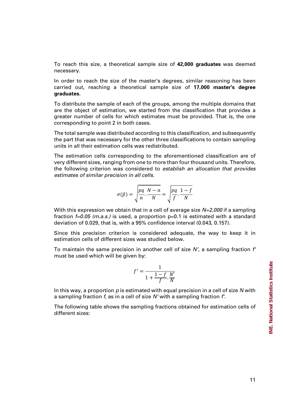To reach this size, a theoretical sample size of **42,000 graduates** was deemed necessary.

In order to reach the size of the master's degrees, similar reasoning has been carried out, reaching a theoretical sample size of **17,000 master's degree graduates.**

To distribute the sample of each of the groups, among the multiple domains that are the object of estimation, we started from the classification that provides a greater number of cells for which estimates must be provided. That is, the one corresponding to point 2 in both cases.

The total sample was distributed according to this classification, and subsequently the part that was necessary for the other three classifications to contain sampling units in all their estimation cells was redistributed.

The estimation cells corresponding to the aforementioned classification are of very different sizes, ranging from one to more than four thousand units. Therefore, the following criterion was considered to *establish an allocation that provides estimates of similar precision in all cells*.

$$
\sigma(\hat{p}) = \sqrt{\frac{pq}{n} \cdot \frac{N-n}{N}} = \sqrt{\frac{pq}{f} \cdot \frac{1-f}{N}}
$$

With this expression we obtain that in a cell of average size *N=2,000* if a sampling fraction *f=0.05 (m.a.s.)* is used, a proportion p=0.1 is estimated with a standard deviation of 0.029, that is, with a 95% confidence interval (0.043, 0.157).

Since this precision criterion is considered adequate, the way to keep it in estimation cells of different sizes was studied below.

To maintain the same precision in another cell of size *N'*, a sampling fraction *f'* must be used which will be given by:

$$
f' = \frac{1}{1 + \frac{1 - f}{f} \cdot \frac{N'}{N}}
$$

In this way, a proportion *p* is estimated with equal precision in a cell of size *N* with a sampling fraction *f*, as in a cell of size *N'* with a sampling fraction *f'.*

The following table shows the sampling fractions obtained for estimation cells of different sizes: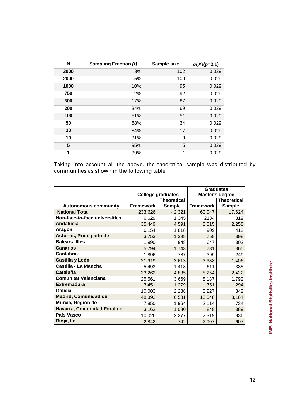| N    | <b>Sampling Fraction (f)</b> | Sample size | $\sigma(\widehat{P})(p=0,1)$ |
|------|------------------------------|-------------|------------------------------|
| 3000 | 3%                           | 102         | 0.029                        |
| 2000 | 5%                           | 100         | 0.029                        |
| 1000 | 10%                          | 95          | 0.029                        |
| 750  | 12%                          | 92          | 0.029                        |
| 500  | 17%                          | 87          | 0.029                        |
| 200  | 34%                          | 69          | 0.029                        |
| 100  | 51%                          | 51          | 0.029                        |
| 50   | 68%                          | 34          | 0.029                        |
| 20   | 84%                          | 17          | 0.029                        |
| 10   | 91%                          | 9           | 0.029                        |
| 5    | 95%                          | 5           | 0.029                        |
| 1    | 99%                          | 1           | 0.029                        |

Taking into account all the above, the theoretical sample was distributed by communities as shown in the following table:

|                               |                          |               | <b>Graduates</b> |                    |
|-------------------------------|--------------------------|---------------|------------------|--------------------|
|                               | <b>College graduates</b> |               | Master's degree  |                    |
|                               | <b>Theoretical</b>       |               |                  | <b>Theoretical</b> |
| <b>Autonomous community</b>   | <b>Framework</b>         | <b>Sample</b> | <b>Framework</b> | <b>Sample</b>      |
| <b>National Total</b>         | 233,626                  | 42,321        | 60,047           | 17,624             |
| Non-face-to-face universities | 6,629                    | 1,345         | 2134             | 819                |
| <b>Andalucía</b>              | 35,449                   | 4,591         | 8,815            | 2,258              |
| Aragón                        | 6,154                    | 1,818         | 909              | 412                |
| Asturias, Principado de       | 3,753                    | 1,398         | 758              | 398                |
| <b>Balears, Illes</b>         | 1,990                    | 948           | 647              | 302                |
| <b>Canarias</b>               | 5,794                    | 1,743         | 731              | 365                |
| <b>Cantabria</b>              | 1,896                    | 787           | 399              | 249                |
| Castilla y León               | 21,919                   | 3,613         | 3,388            | 1,406              |
| Castilla - La Mancha          | 5,493                    | 1,413         | 611              | 335                |
| Cataluña                      | 33,262                   | 4,835         | 8,254            | 2,422              |
| <b>Comunitat Valenciana</b>   | 25,561                   | 3,669         | 8,187            | 1,792              |
| <b>Extremadura</b>            | 3,451                    | 1,279         | 751              | 294                |
| Galicia                       | 10,003                   | 2,288         | 3,227            | 842                |
| <b>Madrid, Comunidad de</b>   | 48,392                   | 6,531         | 13,048           | 3,164              |
| Murcia, Región de             | 7,850                    | 1,964         | 2,114            | 734                |
| Navarra, Comunidad Foral de   | 3,162                    | 1,080         | 848              | 389                |
| País Vasco                    | 10,026                   | 2,277         | 2,319            | 836                |
| Rioja, La                     | 2,842                    | 742           | 2,907            | 607                |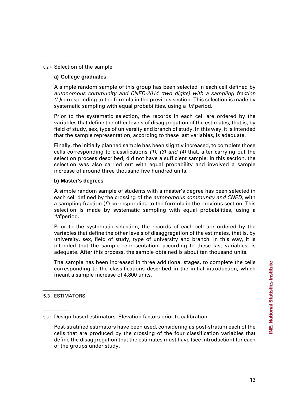#### 5.2.4 Selection of the sample

#### **a) College graduates**

A simple random sample of this group has been selected in each cell defined by *autonomous community and CNED-2014 (two digits) with a sampling fraction (f')*corresponding to the formula in the previous section. This selection is made by systematic sampling with equal probabilities, using a *1/f'*period.

Prior to the systematic selection, the records in each cell are ordered by the variables that define the other levels of disaggregation of the estimates, that is, by field of study, sex, type of university and branch of study. In this way, it is intended that the sample representation, according to these last variables, is adequate.

Finally, the initially planned sample has been slightly increased, to complete those cells corresponding to classifications *(1), (3) and (4)* that, after carrying out the selection process described, did not have a sufficient sample. In this section, the selection was also carried out with equal probability and involved a sample increase of around three thousand five hundred units.

#### **b) Master's degrees**

A simple random sample of students with a master's degree has been selected in each cell defined by the crossing of the *autonomous community and CNED*, with a sampling fraction (*f'*) corresponding to the formula in the previous section. This selection is made by systematic sampling with equal probabilities, using a *1/f'*period.

Prior to the systematic selection, the records of each cell are ordered by the variables that define the other levels of disaggregation of the estimates, that is, by university, sex, field of study, type of university and branch. In this way, it is intended that the sample representation, according to these last variables, is adequate. After this process, the sample obtained is about ten thousand units.

The sample has been increased in three additional stages, to complete the cells corresponding to the classifications described in the initial introduction, which meant a sample increase of 4,800 units.

#### 5.3 ESTIMATORS

<sup>5.3.1</sup> Design-based estimators. Elevation factors prior to calibration

Post-stratified estimators have been used, considering as post-stratum each of the cells that are produced by the crossing of the four classification variables that define the disaggregation that the estimates must have (see introduction) for each of the groups under study.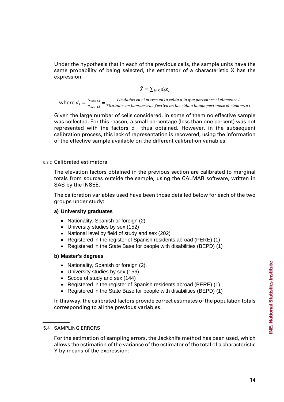Under the hypothesis that in each of the previous cells, the sample units have the same probability of being selected, the estimator of a characteristic X has the expression:

$$
\hat{X} = \sum_{i \in S} d_i x_i
$$

**where**  $d_i = \frac{N_{123\,4,i}}{n_{123\,4,i}} = \frac{Titulados en el marco en la celda a la que pertenece el elemento i  
Titulados en la muestra efectiva en la celda a la que pertenece el elemento i$ 

Given the large number of cells considered, in some of them no effective sample was collected. For this reason, a small percentage (less than one percent) was not represented with the factors  $d_i$  thus obtained. However, in the subsequent calibration process, this lack of representation is recovered, using the information of the effective sample available on the different calibration variables.

#### 5.3.2 Calibrated estimators

The elevation factors obtained in the previous section are calibrated to marginal totals from sources outside the sample, using the CALMAR software, written in SAS by the INSEE.

The calibration variables used have been those detailed below for each of the two groups under study:

#### **a) University graduates**

- Nationality, Spanish or foreign (2).
- University studies by sex (152)
- National level by field of study and sex (202)
- Registered in the register of Spanish residents abroad (PERE) (1)
- Registered in the State Base for people with disabilities (BEPD) (1)

#### **b) Master's degrees**

- Nationality, Spanish or foreign (2).
- University studies by sex (156)
- Scope of study and sex (144)
- Registered in the register of Spanish residents abroad (PERE) (1)
- Registered in the State Base for people with disabilities (BEPD) (1)

In this way, the calibrated factors provide correct estimates of the population totals corresponding to all the previous variables.

#### İ 5.4 SAMPLING ERRORS

For the estimation of sampling errors, the Jackknife method has been used, which allows the estimation of the variance of the estimator of the total of a characteristic Y by means of the expression: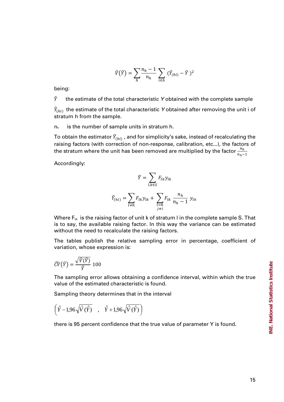$$
\hat{V}(\hat{Y}) = \sum_{h} \frac{n_h - 1}{n_h} \sum_{i \in h} (\hat{Y}_{(hi)} - \hat{Y})^2
$$

being:

 $\hat{Y}$  the estimate of the total characteristic Y obtained with the complete sample

 $\hat{Y}_{(hi)}$  the estimate of the total characteristic  $\bm{Y}$  obtained after removing the unit i of stratum h from the sample.

 $n<sub>h</sub>$  is the number of sample units in stratum h.

To obtain the estimator  $\hat{Y}_{(hi)}$  , and for simplicity's sake, instead of recalculating the raising factors (with correction of non-response, calibration, etc...), the factors of the stratum where the unit has been removed are multiplied by the factor  $\frac{n_h}{n_h-1}$ 

Accordingly:

$$
\hat{Y} = \sum_{l,k \in S} F_{lk} y_{lk}
$$

$$
\hat{Y}_{(hi)} = \sum_{l \neq h} F_{lk} y_{lk} + \sum_{\substack{l=h \\ j \neq i}} F_{lk} \frac{n_h}{n_h - 1} y_{lk}
$$

Where  $F_{ijk}$  is the raising factor of unit k of stratum I in the complete sample S. That is to say, the available raising factor. In this way the variance can be estimated without the need to recalculate the raising factors.

The tables publish the relative sampling error in percentage, coefficient of variation, whose expression is:

$$
\widehat{\mathcal{CV}}(\widehat{Y}) = \frac{\sqrt{\widehat{V}(\widehat{Y})}}{\widehat{Y}}\ 100
$$

The sampling error allows obtaining a confidence interval, within which the true value of the estimated characteristic is found.

Sampling theory determines that in the interval

$$
\left(\hat{Y} - 1,96\sqrt{\hat{V}(\hat{Y})} \quad , \quad \hat{Y} + 1,96\sqrt{\hat{V}(\hat{Y})}\right)
$$

there is 95 percent confidence that the true value of parameter Y is found.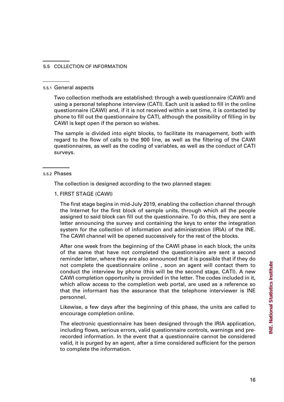#### 5.5 COLLECTION OF INFORMATION

#### 5.5.1 General aspects

Two collection methods are established: through a web questionnaire (CAWI) and using a personal telephone interview (CATI). Each unit is asked to fill in the online questionnaire (CAWI) and, if it is not received within a set time, it is contacted by phone to fill out the questionnaire by CATI, although the possibility of filling in by CAWI is kept open if the person so wishes.

The sample is divided into eight blocks, to facilitate its management, both with regard to the flow of calls to the 900 line, as well as the filtering of the CAWI questionnaires, as well as the coding of variables, as well as the conduct of CATI surveys.

5.5.2 Phases

The collection is designed according to the two planned stages:

1. FIRST STAGE (CAWI)

The first stage begins in mid-July 2019, enabling the collection channel through the Internet for the first block of sample units, through which all the people assigned to said block can fill out the questionnaire. To do this, they are sent a letter announcing the survey and containing the keys to enter the integration system for the collection of information and administration (IRIA) of the INE. The CAWI channel will be opened successively for the rest of the blocks.

After one week from the beginning of the CAWI phase in each block, the units of the same that have not completed the questionnaire are sent a second reminder letter, where they are also announced that it is possible that if they do not complete the questionnaire online , soon an agent will contact them to conduct the interview by phone (this will be the second stage, CATI). A new CAWI completion opportunity is provided in the letter. The codes included in it, which allow access to the completion web portal, are used as a reference so that the informant has the assurance that the telephone interviewer is INE personnel.

Likewise, a few days after the beginning of this phase, the units are called to encourage completion online.

The electronic questionnaire has been designed through the IRIA application, including flows, serious errors, valid questionnaire controls, warnings and prerecorded information. In the event that a questionnaire cannot be considered valid, it is purged by an agent, after a time considered sufficient for the person to complete the information.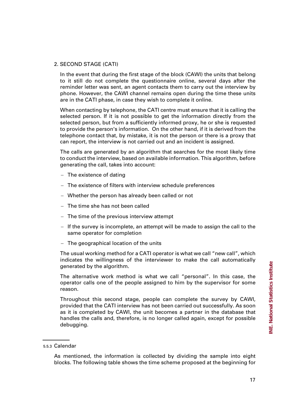#### 2. SECOND STAGE (CATI)

In the event that during the first stage of the block (CAWI) the units that belong to it still do not complete the questionnaire online, several days after the reminder letter was sent, an agent contacts them to carry out the interview by phone. However, the CAWI channel remains open during the time these units are in the CATI phase, in case they wish to complete it online.

When contacting by telephone, the CATI centre must ensure that it is calling the selected person. If it is not possible to get the information directly from the selected person, but from a sufficiently informed proxy, he or she is requested to provide the person's information. On the other hand, if it is derived from the telephone contact that, by mistake, it is not the person or there is a proxy that can report, the interview is not carried out and an incident is assigned.

The calls are generated by an algorithm that searches for the most likely time to conduct the interview, based on available information. This algorithm, before generating the call, takes into account:

- − The existence of dating
- − The existence of filters with interview schedule preferences
- − Whether the person has already been called or not
- − The time she has not been called
- − The time of the previous interview attempt
- − If the survey is incomplete, an attempt will be made to assign the call to the same operator for completion
- − The geographical location of the units

The usual working method for a CATI operator is what we call "new call", which indicates the willingness of the interviewer to make the call automatically generated by the algorithm.

The alternative work method is what we call "personal". In this case, the operator calls one of the people assigned to him by the supervisor for some reason.

Throughout this second stage, people can complete the survey by CAWI, provided that the CATI interview has not been carried out successfully. As soon as it is completed by CAWI, the unit becomes a partner in the database that handles the calls and, therefore, is no longer called again, except for possible debugging.

<sup>5.5.3</sup> Calendar

As mentioned, the information is collected by dividing the sample into eight blocks. The following table shows the time scheme proposed at the beginning for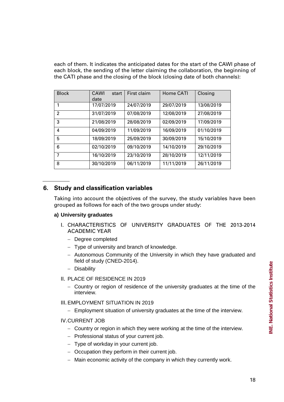each of them. It indicates the anticipated dates for the start of the CAWI phase of each block, the sending of the letter claiming the collaboration, the beginning of the CATI phase and the closing of the block (closing date of both channels):

| <b>Block</b>   | <b>CAWI</b><br>start<br>date | First claim | Home CATI  | Closing    |
|----------------|------------------------------|-------------|------------|------------|
| 1              | 17/07/2019                   | 24/07/2019  | 29/07/2019 | 13/08/2019 |
| $\overline{2}$ | 31/07/2019                   | 07/08/2019  | 12/08/2019 | 27/08/2019 |
| 3              | 21/08/2019                   | 28/08/2019  | 02/09/2019 | 17/09/2019 |
| 4              | 04/09/2019                   | 11/09/2019  | 16/09/2019 | 01/10/2019 |
| 5              | 18/09/2019                   | 25/09/2019  | 30/09/2019 | 15/10/2019 |
| 6              | 02/10/2019                   | 09/10/2019  | 14/10/2019 | 29/10/2019 |
| 7              | 16/10/2019                   | 23/10/2019  | 28/10/2019 | 12/11/2019 |
| 8              | 30/10/2019                   | 06/11/2019  | 11/11/2019 | 26/11/2019 |

# **6. Study and classification variables**

Taking into account the objectives of the survey, the study variables have been grouped as follows for each of the two groups under study:

# **a) University graduates**

- I. CHARACTERISTICS OF UNIVERSITY GRADUATES OF THE 2013-2014 ACADEMIC YEAR
	- − Degree completed
	- − Type of university and branch of knowledge.
	- − Autonomous Community of the University in which they have graduated and field of study (CNED-2014).
	- − Disability
- II. PLACE OF RESIDENCE IN 2019
	- − Country or region of residence of the university graduates at the time of the interview.
- III. EMPLOYMENT SITUATION IN 2019
	- − Employment situation of university graduates at the time of the interview.
- IV.CURRENT JOB
	- − Country or region in which they were working at the time of the interview.
	- − Professional status of your current job.
	- − Type of workday in your current job.
	- − Occupation they perform in their current job.
	- − Main economic activity of the company in which they currently work.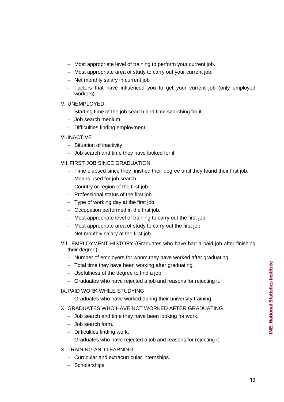- − Most appropriate level of training to perform your current job.
- − Most appropriate area of study to carry out your current job.
- − Net monthly salary in current job
- − Factors that have influenced you to get your current job (only employed workers).
- V. UNEMPLOYED
	- − Starting time of the job search and time searching for it.
	- − Job search medium.
	- − Difficulties finding employment.

## VI.INACTIVE

- − Situation of inactivity
- − Job search and time they have looked for it.

# VII. FIRST JOB SINCE GRADUATION

- − Time elapsed since they finished their degree until they found their first job.
- − Means used for job search.
- − Country or region of the first job.
- − Professional status of the first job.
- − Type of working day at the first job.
- − Occupation performed in the first job.
- − Most appropriate level of training to carry out the first job.
- − Most appropriate area of study to carry out the first job.
- − Net monthly salary at the first job.
- VIII. EMPLOYMENT HISTORY (Graduates who have had a paid job after finishing their degree).
	- − Number of employers for whom they have worked after graduating.
	- − Total time they have been working after graduating.
	- − Usefulness of the degree to find a job.
	- − Graduates who have rejected a job and reasons for rejecting it.

# IX.PAID WORK WHILE STUDYING

− Graduates who have worked during their university training.

## X. GRADUATES WHO HAVE NOT WORKED AFTER GRADUATING

- − Job search and time they have been looking for work.
- − Job search form.
- − Difficulties finding work.
- − Graduates who have rejected a job and reasons for rejecting it.

## XI.TRAINING AND LEARNING

- − Curricular and extracurricular internships.
- − Scholarships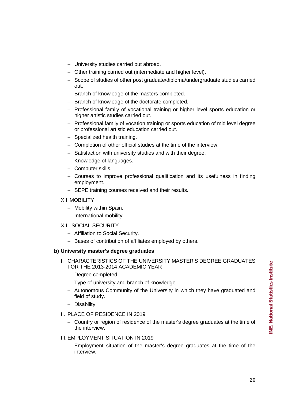- − University studies carried out abroad.
- − Other training carried out (intermediate and higher level).
- − Scope of studies of other post graduate/diploma/undergraduate studies carried out.
- − Branch of knowledge of the masters completed.
- − Branch of knowledge of the doctorate completed.
- − Professional family of vocational training or higher level sports education or higher artistic studies carried out.
- − Professional family of vocation training or sports education of mid level degree or professional artistic education carried out.
- − Specialized health training.
- − Completion of other official studies at the time of the interview.
- − Satisfaction with university studies and with their degree.
- − Knowledge of languages.
- − Computer skills.
- − Courses to improve professional qualification and its usefulness in finding employment.
- − SEPE training courses received and their results.

#### XII. MOBILITY

- − Mobility within Spain.
- − International mobility.

#### XIII. SOCIAL SECURITY

- − Affiliation to Social Security.
- − Bases of contribution of affiliates employed by others.

#### **b) University master's degree graduates**

- I. CHARACTERISTICS OF THE UNIVERSITY MASTER'S DEGREE GRADUATES FOR THE 2013-2014 ACADEMIC YEAR
	- − Degree completed
	- − Type of university and branch of knowledge.
	- − Autonomous Community of the University in which they have graduated and field of study.
	- − Disability
- II. PLACE OF RESIDENCE IN 2019
	- − Country or region of residence of the master's degree graduates at the time of the interview.

## III. EMPLOYMENT SITUATION IN 2019

− Employment situation of the master's degree graduates at the time of the interview.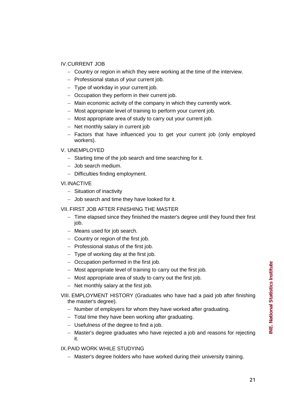# IV.CURRENT JOB

- − Country or region in which they were working at the time of the interview.
- − Professional status of your current job.
- − Type of workday in your current job.
- − Occupation they perform in their current job.
- − Main economic activity of the company in which they currently work.
- − Most appropriate level of training to perform your current job.
- − Most appropriate area of study to carry out your current job.
- − Net monthly salary in current job
- − Factors that have influenced you to get your current job (only employed workers).

# V. UNEMPLOYED

- − Starting time of the job search and time searching for it.
- − Job search medium.
- − Difficulties finding employment.

## VI.INACTIVE

- − Situation of inactivity
- − Job search and time they have looked for it.

## VII. FIRST JOB AFTER FINISHING THE MASTER

- − Time elapsed since they finished the master's degree until they found their first job.
- − Means used for job search.
- − Country or region of the first job.
- − Professional status of the first job.
- − Type of working day at the first job.
- − Occupation performed in the first job.
- − Most appropriate level of training to carry out the first job.
- − Most appropriate area of study to carry out the first job.
- − Net monthly salary at the first job.

# VIII. EMPLOYMENT HISTORY (Graduates who have had a paid job after finishing the master's degree).

- − Number of employers for whom they have worked after graduating.
- − Total time they have been working after graduating.
- − Usefulness of the degree to find a job.
- − Master's degree graduates who have rejected a job and reasons for rejecting it.

# IX.PAID WORK WHILE STUDYING

− Master's degree holders who have worked during their university training.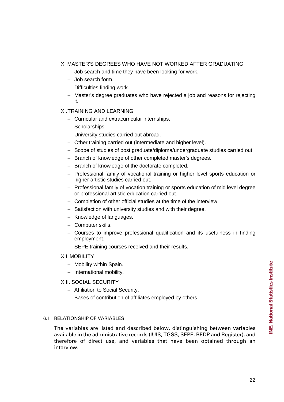# X. MASTER'S DEGREES WHO HAVE NOT WORKED AFTER GRADUATING

- − Job search and time they have been looking for work.
- − Job search form.
- − Difficulties finding work.
- − Master's degree graduates who have rejected a job and reasons for rejecting it.

## XI.TRAINING AND LEARNING

- − Curricular and extracurricular internships.
- − Scholarships
- − University studies carried out abroad.
- − Other training carried out (intermediate and higher level).
- − Scope of studies of post graduate/diploma/undergraduate studies carried out.
- − Branch of knowledge of other completed master's degrees.
- − Branch of knowledge of the doctorate completed.
- − Professional family of vocational training or higher level sports education or higher artistic studies carried out.
- − Professional family of vocation training or sports education of mid level degree or professional artistic education carried out.
- − Completion of other official studies at the time of the interview.
- − Satisfaction with university studies and with their degree.
- − Knowledge of languages.
- − Computer skills.
- − Courses to improve professional qualification and its usefulness in finding employment.
- − SEPE training courses received and their results.

## XII. MOBILITY

- − Mobility within Spain.
- − International mobility.

## XIII. SOCIAL SECURITY

- − Affiliation to Social Security.
- − Bases of contribution of affiliates employed by others.

<sup>6.1</sup> RELATIONSHIP OF VARIABLES

The variables are listed and described below, distinguishing between variables available in the administrative records (IUIS, TGSS, SEPE, BEDP and Register), and therefore of direct use, and variables that have been obtained through an interview.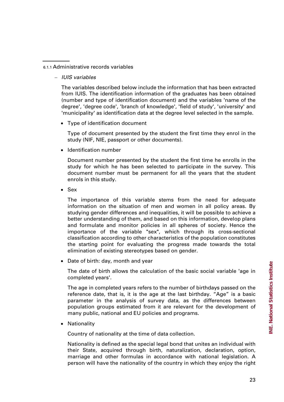#### 6.1.1 Administrative records variables

− *IUIS variables*

The variables described below include the information that has been extracted from IUIS. The identification information of the graduates has been obtained (number and type of identification document) and the variables 'name of the degree', 'degree code', 'branch of knowledge', 'field of study', 'university' and 'municipality' as identification data at the degree level selected in the sample.

• Type of identification document

Type of document presented by the student the first time they enrol in the study (NIF, NIE, passport or other documents).

• Identification number

Document number presented by the student the first time he enrolls in the study for which he has been selected to participate in the survey. This document number must be permanent for all the years that the student enrols in this study.

• Sex

The importance of this variable stems from the need for adequate information on the situation of men and women in all policy areas. By studying gender differences and inequalities, it will be possible to achieve a better understanding of them, and based on this information, develop plans and formulate and monitor policies in all spheres of society. Hence the importance of the variable "sex", which through its cross-sectional classification according to other characteristics of the population constitutes the starting point for evaluating the progress made towards the total elimination of existing stereotypes based on gender.

• Date of birth: day, month and year

The date of birth allows the calculation of the basic social variable 'age in completed years'.

The age in completed years refers to the number of birthdays passed on the reference date, that is, it is the age at the last birthday. "Age" is a basic parameter in the analysis of survey data, as the differences between population groups estimated from it are relevant for the development of many public, national and EU policies and programs.

• Nationality

Country of nationality at the time of data collection.

Nationality is defined as the special legal bond that unites an individual with their State, acquired through birth, naturalization, declaration, option, marriage and other formulas in accordance with national legislation. A person will have the nationality of the country in which they enjoy the right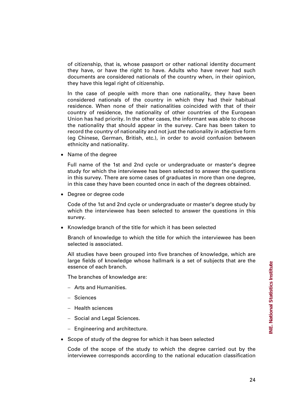of citizenship, that is, whose passport or other national identity document they have, or have the right to have. Adults who have never had such documents are considered nationals of the country when, in their opinion, they have this legal right of citizenship.

In the case of people with more than one nationality, they have been considered nationals of the country in which they had their habitual residence. When none of their nationalities coincided with that of their country of residence, the nationality of other countries of the European Union has had priority. In the other cases, the informant was able to choose the nationality that should appear in the survey. Care has been taken to record the country of nationality and not just the nationality in adjective form (eg Chinese, German, British, etc.), in order to avoid confusion between ethnicity and nationality.

• Name of the degree

Full name of the 1st and 2nd cycle or undergraduate or master's degree study for which the interviewee has been selected to answer the questions in this survey. There are some cases of graduates in more than one degree, in this case they have been counted once in each of the degrees obtained.

• Degree or degree code

Code of the 1st and 2nd cycle or undergraduate or master's degree study by which the interviewee has been selected to answer the questions in this survey.

• Knowledge branch of the title for which it has been selected

Branch of knowledge to which the title for which the interviewee has been selected is associated.

All studies have been grouped into five branches of knowledge, which are large fields of knowledge whose hallmark is a set of subjects that are the essence of each branch.

The branches of knowledge are:

- − Arts and Humanities.
- − Sciences
- − Health sciences
- − Social and Legal Sciences.
- − Engineering and architecture.
- Scope of study of the degree for which it has been selected

Code of the scope of the study to which the degree carried out by the interviewee corresponds according to the national education classification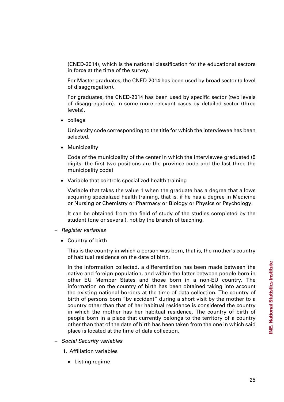(CNED-2014), which is the national classification for the educational sectors in force at the time of the survey.

For Master graduates, the CNED-2014 has been used by broad sector (a level of disaggregation).

For graduates, the CNED-2014 has been used by specific sector (two levels of disaggregation). In some more relevant cases by detailed sector (three levels).

• college

University code corresponding to the title for which the interviewee has been selected.

• Municipality

Code of the municipality of the center in which the interviewee graduated (5 digits: the first two positions are the province code and the last three the municipality code)

• Variable that controls specialized health training

Variable that takes the value 1 when the graduate has a degree that allows acquiring specialized health training, that is, if he has a degree in Medicine or Nursing or Chemistry or Pharmacy or Biology or Physics or Psychology.

It can be obtained from the field of study of the studies completed by the student (one or several), not by the branch of teaching.

- − *Register variables*
	- Country of birth

This is the country in which a person was born, that is, the mother's country of habitual residence on the date of birth.

In the information collected, a differentiation has been made between the native and foreign population, and within the latter between people born in other EU Member States and those born in a non-EU country. The information on the country of birth has been obtained taking into account the existing national borders at the time of data collection. The country of birth of persons born "by accident" during a short visit by the mother to a country other than that of her habitual residence is considered the country in which the mother has her habitual residence. The country of birth of people born in a place that currently belongs to the territory of a country other than that of the date of birth has been taken from the one in which said place is located at the time of data collection.

- − *Social Security variables*
	- 1. Affiliation variables
		- Listing regime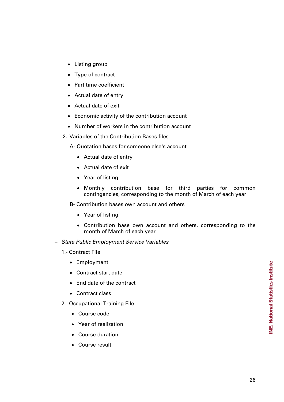- Listing group
- Type of contract
- Part time coefficient
- Actual date of entry
- Actual date of exit
- Economic activity of the contribution account
- Number of workers in the contribution account
- 2. Variables of the Contribution Bases files
	- A- Quotation bases for someone else's account
		- Actual date of entry
		- Actual date of exit
		- Year of listing
		- Monthly contribution base for third parties for common contingencies, corresponding to the month of March of each year
	- B- Contribution bases own account and others
		- Year of listing
		- Contribution base own account and others, corresponding to the month of March of each year
- − *State Public Employment Service Variables*
	- 1.- Contract File
		- Employment
		- Contract start date
		- End date of the contract
		- Contract class
	- 2.- Occupational Training File
		- Course code
		- Year of realization
		- Course duration
		- Course result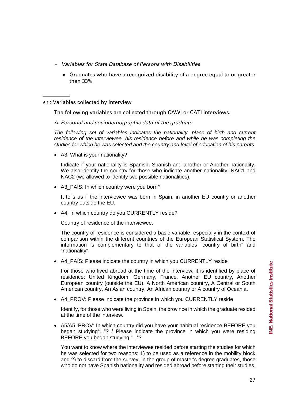- − *Variables for State Database of Persons with Disabilities*
	- Graduates who have a recognized disability of a degree equal to or greater than 33%

6.1.2 Variables collected by interview

The following variables are collected through CAWI or CATI interviews.

*A. Personal and sociodemographic data of the graduate*

*The following set of variables indicates the nationality, place of birth and current residence of the interviewee, his residence before and while he was completing the studies for which he was selected and the country and level of education of his parents.*

• A3: What is your nationality?

Indicate if your nationality is Spanish, Spanish and another or Another nationality. We also identify the country for those who indicate another nationality: NAC1 and NAC2 (we allowed to identify two possible nationalities).

• A3 PAÍS: In which country were you born?

It tells us if the interviewee was born in Spain, in another EU country or another country outside the EU.

• A4: In which country do you CURRENTLY reside?

Country of residence of the interviewee.

The country of residence is considered a basic variable, especially in the context of comparison within the different countries of the European Statistical System. The information is complementary to that of the variables "country of birth" and "nationality".

• A4\_PAÍS: Please indicate the country in which you CURRENTLY reside

For those who lived abroad at the time of the interview, it is identified by place of residence: United Kingdom, Germany, France, Another EU country, Another European country (outside the EU), A North American country, A Central or South American country, An Asian country, An African country or A country of Oceania.

• A4\_PROV: Please indicate the province in which you CURRENTLY reside

Identify, for those who were living in Spain, the province in which the graduate resided at the time of the interview.

• A5/A5\_PROV: In which country did you have your habitual residence BEFORE you began studying"..."? / Please indicate the province in which you were residing BEFORE you began studying "..."?

You want to know where the interviewee resided before starting the studies for which he was selected for two reasons: 1) to be used as a reference in the mobility block and 2) to discard from the survey, in the group of master's degree graduates, those who do not have Spanish nationality and resided abroad before starting their studies.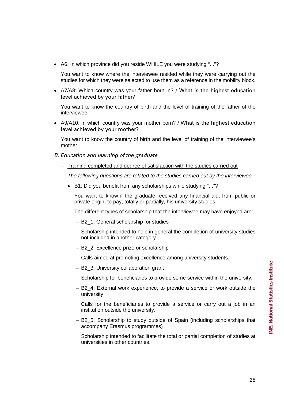• A6: In which province did you reside WHILE you were studying "..."?

You want to know where the interviewee resided while they were carrying out the studies for which they were selected to use them as a reference in the mobility block.

• A7/A8: Which country was your father born in? / What is the highest education level achieved by your father?

You want to know the country of birth and the level of training of the father of the interviewee.

• A9/A10: In which country was your mother born? / What is the highest education level achieved by your mother?

You want to know the country of birth and the level of training of the interviewee's mother.

- *B. Education and learning of the graduate*
	- − Training completed and degree of satisfaction with the studies carried out

*The following questions are related to the studies carried out by the interviewee*

• B1: Did you benefit from any scholarships while studying "..."?

You want to know if the graduate received any financial aid, from public or private origin, to pay, totally or partially, his university studies.

The different types of scholarship that the interviewee may have enjoyed are:

− B2\_1: General scholarship for studies

Scholarship intended to help in general the completion of university studies not included in another category.

− B2\_2: Excellence prize or scholarship

Calls aimed at promoting excellence among university students.

− B2\_3: University collaboration grant

Scholarship for beneficiaries to provide some service within the university.

− B2\_4: External work experience, to provide a service or work outside the university

Calls for the beneficiaries to provide a service or carry out a job in an institution outside the university.

− B2\_5: Scholarship to study outside of Spain (including scholarships that accompany Erasmus programmes)

Scholarship intended to facilitate the total or partial completion of studies at universities in other countries.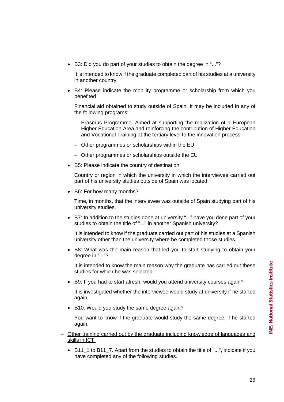• B3: Did you do part of your studies to obtain the degree in "..."?

It is intended to know if the graduate completed part of his studies at a university in another country.

• B4: Please indicate the mobility programme or scholarship from which you benefited

Financial aid obtained to study outside of Spain. It may be included in any of the following programs:

- − Erasmus Programme. Aimed at supporting the realization of a European Higher Education Area and reinforcing the contribution of Higher Education and Vocational Training at the tertiary level to the innovation process.
- − Other programmes or scholarships within the EU
- − Other programmes or scholarships outside the EU
- B5: Please indicate the country of destination

Country or region in which the university in which the interviewee carried out part of his university studies outside of Spain was located.

• B6: For how many months?

Time, in months, that the interviewee was outside of Spain studying part of his university studies.

• B7: In addition to the studies done at university "..." have you done part of your studies to obtain the title of "..." in another Spanish university?

It is intended to know if the graduate carried out part of his studies at a Spanish university other than the university where he completed those studies.

• B8: What was the main reason that led you to start studying to obtain your degree in "..."?

It is intended to know the main reason why the graduate has carried out these studies for which he was selected.

• B9: If you had to start afresh, would you attend university courses again?

It is investigated whether the interviewee would study at university if he started again.

• B10: Would you study the same degree again?

You want to know if the graduate would study the same degree, if he started again.

- − Other training carried out by the graduate including knowledge of languages and skills in ICT.
	- B11\_1 to B11\_7. Apart from the studies to obtain the title of "...", indicate if you have completed any of the following studies.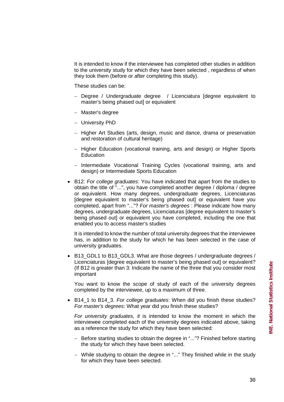It is intended to know if the interviewee has completed other studies in addition to the university study for which they have been selected , regardless of when they took them (before or after completing this study).

These studies can be:

- − Degree / Undergraduate degree / Licenciatura [degree equivalent to master's being phased out] or equivalent
- − Master's degree
- − University PhD
- − Higher Art Studies (arts, design, music and dance, drama or preservation and restoration of cultural heritage)
- − Higher Education (vocational training, arts and design) or Higher Sports Education
- − Intermediate Vocational Training Cycles (vocational training, arts and design) or Intermediate Sports Education
- B12: *For college graduates*: You have indicated that apart from the studies to obtain the title of "...", you have completed another degree / diploma / degree or equivalent. How many degrees, undergraduate degrees, Licenciaturas [degree equivalent to master's being phased out] or equivalent have you completed, apart from "..."? *For master's degrees* : Please indicate how many degrees, undergraduate degrees, Licenciaturas [degree equivalent to master's being phased out] or equivalent you have completed, including the one that enabled you to access master's studies

It is intended to know the number of total university degrees that the interviewee has, in addition to the study for which he has been selected in the case of university graduates.

B13 GDL1 to B13 GDL3. What are those degrees / undergraduate degrees / Licenciaturas [degree equivalent to master's being phased out] or equivalent? (If B12 is greater than 3: Indicate the name of the three that you consider most important

You want to know the scope of study of each of the university degrees completed by the interviewee, up to a maximum of three.

• B14\_1 to B14\_3. *For college graduates*: When did you finish these studies? *For master's degrees*: What year did you finish these studies?

*For university graduates, it* is intended to know the moment in which the interviewee completed each of the university degrees indicated above, taking as a reference the study for which they have been selected:

- − Before starting studies to obtain the degree in "..."? Finished before starting the study for which they have been selected.
- − While studying to obtain the degree in "..." They finished while in the study for which they have been selected.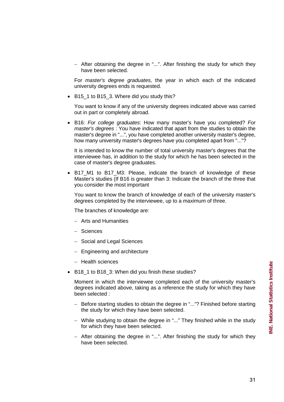− After obtaining the degree in "...". After finishing the study for which they have been selected.

For *master's degree graduates,* the year in which each of the indicated university degrees ends is requested.

• B15\_1 to B15\_3. Where did you study this?

You want to know if any of the university degrees indicated above was carried out in part or completely abroad.

• B16: *For college graduates*: How many master's have you completed? *For master's degrees* : You have indicated that apart from the studies to obtain the master's degree in "...", you have completed another university master's degree, how many university master's degrees have you completed apart from "..."?

It is intended to know the number of total university master's degrees that the interviewee has, in addition to the study for which he has been selected in the case of master's degree graduates.

B17 M1 to B17 M3: Please, indicate the branch of knowledge of these Master's studies (If B16 is greater than 3: Indicate the branch of the three that you consider the most important

You want to know the branch of knowledge of each of the university master's degrees completed by the interviewee, up to a maximum of three.

The branches of knowledge are:

- − Arts and Humanities
- − Sciences
- − Social and Legal Sciences
- − Engineering and architecture
- − Health sciences
- B18\_1 to B18\_3: When did you finish these studies?

Moment in which the interviewee completed each of the university master's degrees indicated above, taking as a reference the study for which they have been selected :

- − Before starting studies to obtain the degree in "..."? Finished before starting the study for which they have been selected.
- − While studying to obtain the degree in "..." They finished while in the study for which they have been selected.
- − After obtaining the degree in "...". After finishing the study for which they have been selected.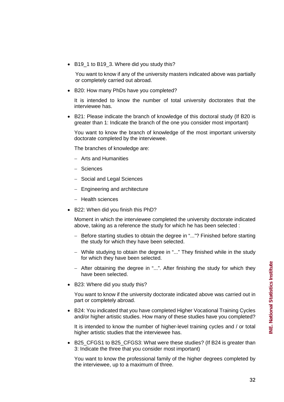• B19\_1 to B19\_3. Where did you study this?

You want to know if any of the university masters indicated above was partially or completely carried out abroad.

• B20: How many PhDs have you completed?

It is intended to know the number of total university doctorates that the interviewee has.

• B21: Please indicate the branch of knowledge of this doctoral study (If B20 is greater than 1: Indicate the branch of the one you consider most important)

You want to know the branch of knowledge of the most important university doctorate completed by the interviewee.

The branches of knowledge are:

- − Arts and Humanities
- − Sciences
- − Social and Legal Sciences
- − Engineering and architecture
- − Health sciences
- B22: When did you finish this PhD?

Moment in which the interviewee completed the university doctorate indicated above, taking as a reference the study for which he has been selected :

- − Before starting studies to obtain the degree in "..."? Finished before starting the study for which they have been selected.
- − While studying to obtain the degree in "..." They finished while in the study for which they have been selected.
- − After obtaining the degree in "...". After finishing the study for which they have been selected.
- B23: Where did you study this?

You want to know if the university doctorate indicated above was carried out in part or completely abroad.

• B24: You indicated that you have completed Higher Vocational Training Cycles and/or higher artistic studies. How many of these studies have you completed?

It is intended to know the number of higher-level training cycles and / or total higher artistic studies that the interviewee has.

• B25 CFGS1 to B25 CFGS3: What were these studies? (If B24 is greater than 3: Indicate the three that you consider most important)

You want to know the professional family of the higher degrees completed by the interviewee, up to a maximum of three.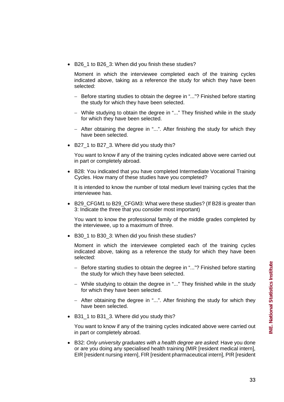• B26 1 to B26 3: When did you finish these studies?

Moment in which the interviewee completed each of the training cycles indicated above, taking as a reference the study for which they have been selected:

- − Before starting studies to obtain the degree in "..."? Finished before starting the study for which they have been selected.
- − While studying to obtain the degree in "..." They finished while in the study for which they have been selected.
- − After obtaining the degree in "...". After finishing the study for which they have been selected.
- B27 1 to B27 3. Where did you study this?

You want to know if any of the training cycles indicated above were carried out in part or completely abroad.

• B28: You indicated that you have completed Intermediate Vocational Training Cycles. How many of these studies have you completed?

It is intended to know the number of total medium level training cycles that the interviewee has.

• B29\_CFGM1 to B29\_CFGM3: What were these studies? (If B28 is greater than 3: Indicate the three that you consider most important)

You want to know the professional family of the middle grades completed by the interviewee, up to a maximum of three.

• B30\_1 to B30\_3: When did you finish these studies?

Moment in which the interviewee completed each of the training cycles indicated above, taking as a reference the study for which they have been selected:

- − Before starting studies to obtain the degree in "..."? Finished before starting the study for which they have been selected.
- − While studying to obtain the degree in "..." They finished while in the study for which they have been selected.
- − After obtaining the degree in "...". After finishing the study for which they have been selected.
- B31 1 to B31 3. Where did you study this?

You want to know if any of the training cycles indicated above were carried out in part or completely abroad.

• B32: *Only university graduates with a health degree are asked*: Have you done or are you doing any specialised health training (MIR [resident medical intern], EIR [resident nursing intern], FIR [resident pharmaceutical intern], PIR [resident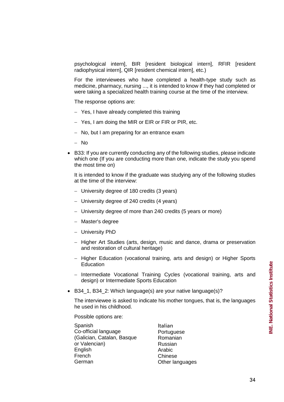psychological intern], BIR [resident biological intern], RFIR [resident radiophysical intern], QIR [resident chemical intern], etc.)

For the interviewees who have completed a health-type study such as medicine, pharmacy, nursing ..., it is intended to know if they had completed or were taking a specialized health training course at the time of the interview.

The response options are:

- − Yes, I have already completed this training
- − Yes, I am doing the MIR or EIR or FIR or PIR, etc.
- − No, but I am preparing for an entrance exam
- − No
- B33: If you are currently conducting any of the following studies, please indicate which one (If you are conducting more than one, indicate the study you spend the most time on)

It is intended to know if the graduate was studying any of the following studies at the time of the interview:

- − University degree of 180 credits (3 years)
- − University degree of 240 credits (4 years)
- − University degree of more than 240 credits (5 years or more)
- − Master's degree
- − University PhD
- − Higher Art Studies (arts, design, music and dance, drama or preservation and restoration of cultural heritage)
- − Higher Education (vocational training, arts and design) or Higher Sports **Education**
- − Intermediate Vocational Training Cycles (vocational training, arts and design) or Intermediate Sports Education
- B34\_1, B34\_2: Which language(s) are your native language(s)?

The interviewee is asked to indicate his mother tongues, that is, the languages he used in his childhood.

Possible options are:

| Spanish                    | Italian         |
|----------------------------|-----------------|
| Co-official language       | Portuguese      |
| (Galician, Catalan, Basque | Romanian        |
| or Valencian)              | Russian         |
| English                    | Arabic          |
| French                     | Chinese         |
| German                     | Other languages |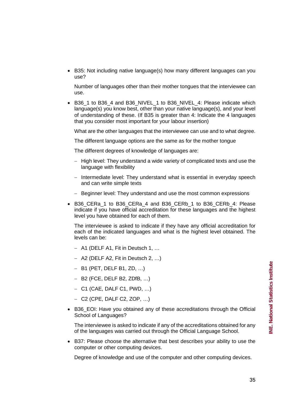• B35: Not including native language(s) how many different languages can you use?

Number of languages other than their mother tongues that the interviewee can use.

B36\_1 to B36\_4 and B36\_NIVEL\_1 to B36\_NIVEL\_4: Please indicate which language(s) you know best, other than your native language(s), and your level of understanding of these. (If B35 is greater than 4: Indicate the 4 languages that you consider most important for your labour insertion)

What are the other languages that the interviewee can use and to what degree.

The different language options are the same as for the mother tongue

The different degrees of knowledge of languages are:

- − High level: They understand a wide variety of complicated texts and use the language with flexibility
- − Intermediate level: They understand what is essential in everyday speech and can write simple texts
- − Beginner level: They understand and use the most common expressions
- B36\_CERa\_1 to B36\_CERa\_4 and B36\_CERb\_1 to B36\_CERb\_4: Please indicate if you have official accreditation for these languages and the highest level you have obtained for each of them.

The interviewee is asked to indicate if they have any official accreditation for each of the indicated languages and what is the highest level obtained. The levels can be:

- − A1 (DELF A1, Fit in Deutsch 1, …
- − A2 (DELF A2, Fit in Deutsch 2, …)
- − B1 (PET, DELF B1, ZD, …)
- − B2 (FCE, DELF B2, ZDfB, …)
- − C1 (CAE, DALF C1, PWD, …)
- − C2 (CPE, DALF C2, ZOP, …)
- B36\_EOI: Have you obtained any of these accreditations through the Official School of Languages?

The interviewee is asked to indicate if any of the accreditations obtained for any of the languages was carried out through the Official Language School.

• B37: Please choose the alternative that best describes your ability to use the computer or other computing devices.

Degree of knowledge and use of the computer and other computing devices.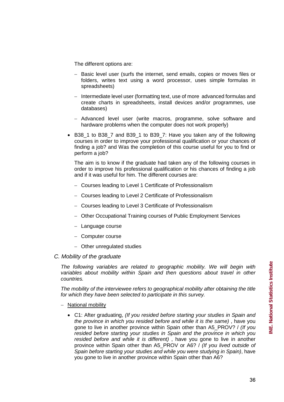The different options are:

- − Basic level user (surfs the internet, send emails, copies or moves files or folders, writes text using a word processor, uses simple formulas in spreadsheets)
- − Intermediate level user (formatting text, use of more advanced formulas and create charts in spreadsheets, install devices and/or programmes, use databases)
- − Advanced level user (write macros, programme, solve software and hardware problems when the computer does not work properly)
- B38 1 to B38 7 and B39 1 to B39 7: Have you taken any of the following courses in order to improve your professional qualification or your chances of finding a job? and Was the completion of this course useful for you to find or perform a job?

The aim is to know if the graduate had taken any of the following courses in order to improve his professional qualification or his chances of finding a job and if it was useful for him. The different courses are:

- − Courses leading to Level 1 Certificate of Professionalism
- − Courses leading to Level 2 Certificate of Professionalism
- − Courses leading to Level 3 Certificate of Professionalism
- − Other Occupational Training courses of Public Employment Services
- − Language course
- − Computer course
- − Other unregulated studies

#### *C. Mobility of the graduate*

*The following variables are related to geographic mobility. We will begin with variables about mobility within Spain and then questions about travel in other countries.*

*The mobility of the interviewee refers to geographical mobility after obtaining the title for which they have been selected to participate in this survey.*

- − National mobility
	- C1: After graduating, *(If you resided before starting your studies in Spain and the province in which you resided before and while it is the same)* , have you gone to live in another province within Spain other than A5\_PROV? / *(If you resided before starting your studies in Spain and the province in which you resided before and while it is different)* , have you gone to live in another province within Spain other than A5\_PROV or A6? / *(If you lived outside of Spain before starting your studies and while you were studying in Spain)*, have you gone to live in another province within Spain other than A6?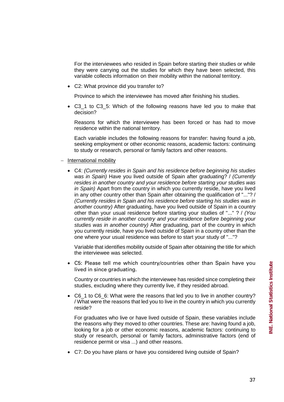For the interviewees who resided in Spain before starting their studies or while they were carrying out the studies for which they have been selected, this variable collects information on their mobility within the national territory.

• C2: What province did you transfer to?

Province to which the interviewee has moved after finishing his studies.

• C3\_1 to C3\_5: Which of the following reasons have led you to make that decision?

Reasons for which the interviewee has been forced or has had to move residence within the national territory.

Each variable includes the following reasons for transfer: having found a job, seeking employment or other economic reasons, academic factors: continuing to study or research, personal or family factors and other reasons.

## − International mobility

• C4: *(Currently resides in Spain and his residence before beginning his studies was in Spain)* Have you lived outside of Spain after graduating? / *(Currently resides in another country and your residence before starting your studies was in Spain)* Apart from the country in which you currently reside, have you lived in any other country other than Spain after obtaining the qualification of "..."? / *(Currently resides in Spain and his residence before starting his studies was in another country)* After graduating, have you lived outside of Spain in a country other than your usual residence before starting your studies of "..." ? / *(You currently reside in another country and your residence before beginning your studies was in another country)* After graduating, part of the country in which you currently reside, have you lived outside of Spain in a country other than the one where your usual residence was before to start your study of "..."?

Variable that identifies mobility outside of Spain after obtaining the title for which the interviewee was selected.

• C5: Please tell me which country/countries other than Spain have you lived in since graduating.

Country or countries in which the interviewee has resided since completing their studies, excluding where they currently live, if they resided abroad.

• C6\_1 to C6\_6: What were the reasons that led you to live in another country? / What were the reasons that led you to live in the country in which you currently reside?

For graduates who live or have lived outside of Spain, these variables include the reasons why they moved to other countries. These are: having found a job, looking for a job or other economic reasons, academic factors: continuing to study or research, personal or family factors, administrative factors (end of residence permit or visa ...) and other reasons.

• C7: Do you have plans or have you considered living outside of Spain?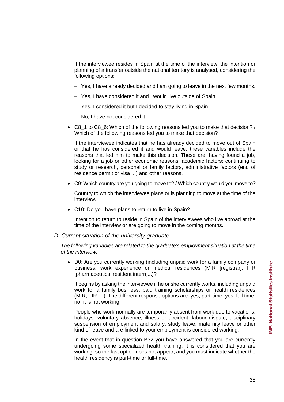If the interviewee resides in Spain at the time of the interview, the intention or planning of a transfer outside the national territory is analysed, considering the following options:

- − Yes, I have already decided and I am going to leave in the next few months.
- − Yes, I have considered it and I would live outside of Spain
- − Yes, I considered it but I decided to stay living in Spain
- − No, I have not considered it
- C8\_1 to C8\_6: Which of the following reasons led you to make that decision? / Which of the following reasons led you to make that decision?

If the interviewee indicates that he has already decided to move out of Spain or that he has considered it and would leave, these variables include the reasons that led him to make this decision. These are: having found a job, looking for a job or other economic reasons, academic factors: continuing to study or research, personal or family factors, administrative factors (end of residence permit or visa ...) and other reasons.

• C9: Which country are you going to move to? / Which country would you move to?

Country to which the interviewee plans or is planning to move at the time of the interview.

• C10: Do you have plans to return to live in Spain?

Intention to return to reside in Spain of the interviewees who live abroad at the time of the interview or are going to move in the coming months.

## *D. Current situation of the university graduate*

*The following variables are related to the graduate's employment situation at the time of the interview.*

• D0: Are you currently working (including unpaid work for a family company or business, work experience or medical residences (MIR [registrar], FIR [pharmaceutical resident intern]...)?

It begins by asking the interviewee if he or she currently works, including unpaid work for a family business, paid training scholarships or health residences (MIR, FIR …). The different response options are: yes, part-time; yes, full time; no, it is not working.

People who work normally are temporarily absent from work due to vacations, holidays, voluntary absence, illness or accident, labour dispute, disciplinary suspension of employment and salary, study leave, maternity leave or other kind of leave and are linked to your employment is considered working.

In the event that in question B32 you have answered that you are currently undergoing some specialized health training, it is considered that you are working, so the last option does not appear, and you must indicate whether the health residency is part-time or full-time.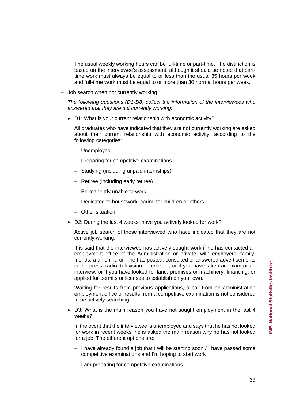The usual weekly working hours can be full-time or part-time. The distinction is based on the interviewee's assessment, although it should be noted that parttime work must always be equal to or less than the usual 35 hours per week and full-time work must be equal to or more than 30 normal hours per week.

− Job search when not currently working

*The following questions (D1-D8) collect the information of the interviewees who answered that they are not currently working:* 

• D1: What is your current relationship with economic activity?

All graduates who have indicated that they are not currently working are asked about their current relationship with economic activity, according to the following categories:

- − Unemployed
- − Preparing for competitive examinations
- − Studying (including unpaid internships)
- − Retiree (including early retiree)
- − Permanently unable to work
- − Dedicated to housework, caring for children or others
- − Other situation
- D2: During the last 4 weeks, have you actively looked for work?

Active job search of those interviewed who have indicated that they are not currently working.

It is said that the interviewee has actively sought work if he has contacted an employment office of the Administration or private, with employers, family, friends, a union, ... or if he has posted, consulted or answered advertisements in the press, radio, television, internet ..., or if you have taken an exam or an interview, or if you have looked for land, premises or machinery, financing, or applied for permits or licenses to establish on your own.

Waiting for results from previous applications, a call from an administration employment office or results from a competitive examination is not considered to be actively searching.

D3: What is the main reason you have not sought employment in the last 4 weeks?

In the event that the interviewee is unemployed and says that he has not looked for work in recent weeks, he is asked the main reason why he has not looked for a job. The different options are:

- − I have already found a job that I will be starting soon / I have passed some competitive examinations and I'm hoping to start work
- − I am preparing for competitive examinations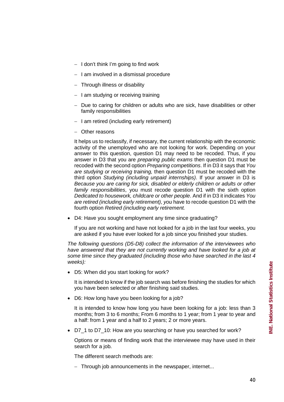- − I don't think I'm going to find work
- − I am involved in a dismissal procedure
- − Through illness or disability
- − I am studying or receiving training
- − Due to caring for children or adults who are sick, have disabilities or other family responsibilities
- − I am retired (including early retirement)
- − Other reasons

It helps us to reclassify, if necessary, the current relationship with the economic activity of the unemployed who are not looking for work. Depending on your answer to this question, question D1 may need to be recoded. Thus, if you answer in D3 that you are *preparing public exams* then question D1 must be recoded with the second option *Preparing competitions*. If in D3 it says that *You are studying or receiving training,* then question D1 must be recoded with the third option *Studying (including unpaid internships)*. If your answer in D3 is *Because you are caring for sick, disabled or elderly children or adults or other family responsibilities*, you must recode question D1 with the sixth option *Dedicated to housework, childcare or other people*. And if in D3 it indicates *You are retired (including early retirement), you* have to recode question D1 with the fourth option *Retired (including early retirement.* 

• D4: Have you sought employment any time since graduating?

If you are not working and have not looked for a job in the last four weeks, you are asked if you have ever looked for a job since you finished your studies.

*The following questions (D5-D8) collect the information of the interviewees who have answered that they are not currently working and have looked for a job at some time since they graduated (including those who have searched in the last 4 weeks):* 

• D5: When did you start looking for work?

It is intended to know if the job search was before finishing the studies for which you have been selected or after finishing said studies.

• D6: How long have you been looking for a job?

It is intended to know how long you have been looking for a job: less than 3 months; from 3 to 6 months; From 6 months to 1 year; from 1 year to year and a half: from 1 year and a half to 2 years; 2 or more years.

• D7\_1 to D7\_10: How are you searching or have you searched for work?

Options or means of finding work that the interviewee may have used in their search for a job.

The different search methods are:

− Through job announcements in the newspaper, internet...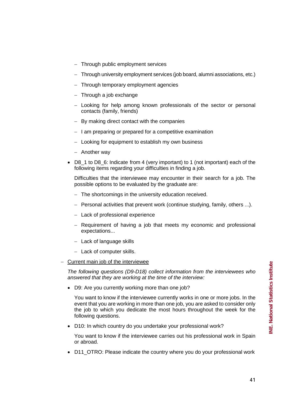- 
- D8 1 to D8 6: Indicate from 4 (very important) to 1 (not important) each of the following items regarding your difficulties in finding a job.

− Through university employment services (job board, alumni associations, etc.)

− Looking for help among known professionals of the sector or personal

Difficulties that the interviewee may encounter in their search for a job. The possible options to be evaluated by the graduate are:

− The shortcomings in the university education received.

− I am preparing or prepared for a competitive examination

− Looking for equipment to establish my own business

- − Personal activities that prevent work (continue studying, family, others ...).
- − Lack of professional experience

− Through public employment services

− Through a job exchange

− Another way

contacts (family, friends)

− Through temporary employment agencies

− By making direct contact with the companies

- − Requirement of having a job that meets my economic and professional expectations...
- − Lack of language skills
- − Lack of computer skills.
- − Current main job of the interviewee

*The following questions (D9-D18) collect information from the interviewees who answered that they are working at the time of the interview:* 

• D9: Are you currently working more than one job?

You want to know if the interviewee currently works in one or more jobs. In the event that you are working in more than one job, you are asked to consider only the job to which you dedicate the most hours throughout the week for the following questions.

• D10: In which country do you undertake your professional work?

You want to know if the interviewee carries out his professional work in Spain or abroad.

• D11\_OTRO: Please indicate the country where you do your professional work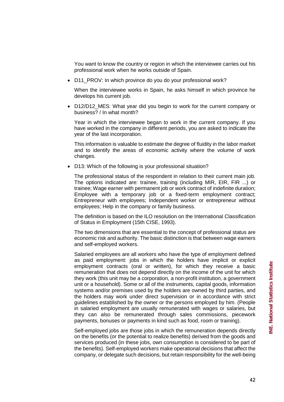• D11 PROV: In which province do you do your professional work?

When the interviewee works in Spain, he asks himself in which province he develops his current job.

• D12/D12\_MES: What year did you begin to work for the current company or business? / In what month?

Year in which the interviewee began to work in the current company. If you have worked in the company in different periods, you are asked to indicate the year of the last incorporation.

This information is valuable to estimate the degree of fluidity in the labor market and to identify the areas of economic activity where the volume of work changes.

• D13: Which of the following is your professional situation?

The professional status of the respondent in relation to their current main job. The options indicated are: trainee, training (including MIR, EIR, FIR ...) or trainee; Wage earner with permanent job or work contract of indefinite duration; Employee with a temporary job or a fixed-term employment contract; Entrepreneur with employees; Independent worker or entrepreneur without employees; Help in the company or family business.

The definition is based on the ILO resolution on the International Classification of Status in Employment (15th CISE, 1993).

The two dimensions that are essential to the concept of professional status are economic risk and authority. The basic distinction is that between wage earners and self-employed workers.

Salaried employees are all workers who have the type of employment defined as paid employment: jobs in which the holders have implicit or explicit employment contracts (oral or written), for which they receive a basic remuneration that does not depend directly on the income of the unit for which they work (this unit may be a corporation, a non-profit institution, a government unit or a household). Some or all of the instruments, capital goods, information systems and/or premises used by the holders are owned by third parties, and the holders may work under direct supervision or in accordance with strict guidelines established by the owner or the persons employed by him. (People in salaried employment are usually remunerated with wages or salaries, but they can also be remunerated through sales commissions, piecework payments, bonuses or payments in kind such as food, room or training).

Self-employed jobs are those jobs in which the remuneration depends directly on the benefits (or the potential to realize benefits) derived from the goods and services produced (in these jobs, own consumption is considered to be part of the benefits). Self-employed workers make operational decisions that affect the company, or delegate such decisions, but retain responsibility for the well-being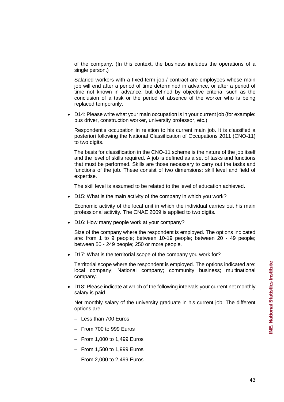of the company. (In this context, the business includes the operations of a single person.)

Salaried workers with a fixed-term job / contract are employees whose main job will end after a period of time determined in advance, or after a period of time not known in advance, but defined by objective criteria, such as the conclusion of a task or the period of absence of the worker who is being replaced temporarily.

• D14: Please write what your main occupation is in your current job (for example: bus driver, construction worker, university professor, etc.)

Respondent's occupation in relation to his current main job. It is classified a posteriori following the National Classification of Occupations 2011 (CNO-11) to two digits.

The basis for classification in the CNO-11 scheme is the nature of the job itself and the level of skills required. A job is defined as a set of tasks and functions that must be performed. Skills are those necessary to carry out the tasks and functions of the job. These consist of two dimensions: skill level and field of expertise.

The skill level is assumed to be related to the level of education achieved.

• D15: What is the main activity of the company in which you work?

Economic activity of the local unit in which the individual carries out his main professional activity. The CNAE 2009 is applied to two digits.

• D16: How many people work at your company?

Size of the company where the respondent is employed. The options indicated are: from 1 to 9 people; between 10-19 people; between 20 - 49 people; between 50 - 249 people; 250 or more people.

• D17: What is the territorial scope of the company you work for?

Territorial scope where the respondent is employed. The options indicated are: local company; National company; community business; multinational company.

• D18: Please indicate at which of the following intervals your current net monthly salary is paid

Net monthly salary of the university graduate in his current job. The different options are:

- − Less than 700 Euros
- − From 700 to 999 Euros
- − From 1,000 to 1,499 Euros
- − From 1,500 to 1,999 Euros
- − From 2,000 to 2,499 Euros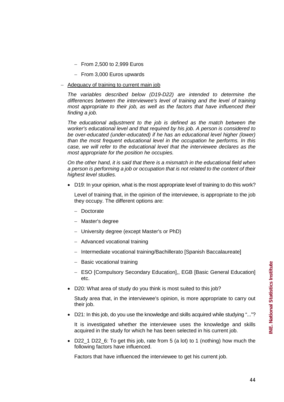- − From 2,500 to 2,999 Euros
- − From 3,000 Euros upwards
- Adequacy of training to current main job

*The variables described below (D19-D22) are intended to determine the differences between the interviewee's level of training and the level of training most appropriate to their job, as well as the factors that have influenced their finding a job.*

*The educational adjustment to the job is defined as the match between the worker's educational level and that required by his job. A person is considered to be over-educated (under-educated) if he has an educational level higher (lower) than the most frequent educational level in the occupation he performs. In this case, we will refer to the educational level that the interviewee declares as the most appropriate for the position he occupies.*

*On the other hand, it is said that there is a mismatch in the educational field when a person is performing a job or occupation that is not related to the content of their highest level studies.*

• D19: In your opinion, what is the most appropriate level of training to do this work?

Level of training that, in the opinion of the interviewee, is appropriate to the job they occupy. The different options are:

- − Doctorate
- − Master's degree
- − University degree (except Master's or PhD)
- − Advanced vocational training
- − Intermediate vocational training/Bachillerato [Spanish Baccalaureate]
- − Basic vocational training
- − ESO [Compulsory Secondary Education],, EGB [Basic General Education] etc.
- D20: What area of study do you think is most suited to this job?

Study area that, in the interviewee's opinion, is more appropriate to carry out their job.

• D21: In this job, do you use the knowledge and skills acquired while studying "..."?

It is investigated whether the interviewee uses the knowledge and skills acquired in the study for which he has been selected in his current job.

• D22\_1 D22\_6: To get this job, rate from 5 (a lot) to 1 (nothing) how much the following factors have influenced.

Factors that have influenced the interviewee to get his current job.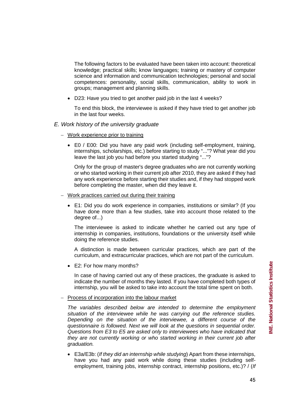The following factors to be evaluated have been taken into account: theoretical knowledge; practical skills; know languages; training or mastery of computer science and information and communication technologies; personal and social competences: personality, social skills, communication, ability to work in groups; management and planning skills.

• D23: Have you tried to get another paid job in the last 4 weeks?

To end this block, the interviewee is asked if they have tried to get another job in the last four weeks.

- *E. Work history of the university graduate*
	- − Work experience prior to training
		- E0 / E00: Did you have any paid work (including self-employment, training, internships, scholarships, etc.) before starting to study "..."? What year did you leave the last job you had before you started studying "..."?

Only for the group of master's degree graduates who are not currently working or who started working in their current job after 2010, they are asked if they had any work experience before starting their studies and, if they had stopped work before completing the master, when did they leave it.

- − Work practices carried out during their training
	- E1: Did you do work experience in companies, institutions or similar? (If you have done more than a few studies, take into account those related to the degree of...)

The interviewee is asked to indicate whether he carried out any type of internship in companies, institutions, foundations or the university itself while doing the reference studies.

A distinction is made between curricular practices, which are part of the curriculum, and extracurricular practices, which are not part of the curriculum.

• E2: For how many months?

In case of having carried out any of these practices, the graduate is asked to indicate the number of months they lasted. If you have completed both types of internship, you will be asked to take into account the total time spent on both.

− Process of incorporation into the labour market

*The variables described below are intended to determine the employment situation of the interviewee while he was carrying out the reference studies. Depending on the situation of the interviewee, a different course of the questionnaire is followed. Next we will look at the questions in sequential order. Questions from E3 to E5 are asked only to interviewees who have indicated that they are not currently working or who started working in their current job after graduation.*

• E3a/E3b: (*If they did an internship while studying*) Apart from these internships, have you had any paid work while doing these studies (including selfemployment, training jobs, internship contract, internship positions, etc.)? / (*If*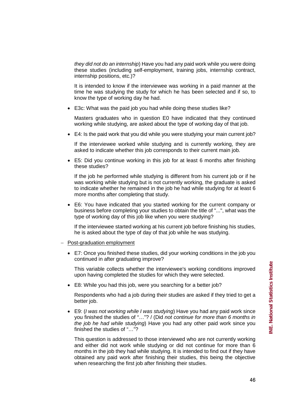*they did not do an internship*) Have you had any paid work while you were doing these studies (including self-employment, training jobs, internship contract, internship positions, etc.)?

It is intended to know if the interviewee was working in a paid manner at the time he was studying the study for which he has been selected and if so, to know the type of working day he had.

• E3c: What was the paid job you had while doing these studies like?

Masters graduates who in question E0 have indicated that they continued working while studying, are asked about the type of working day of that job.

• E4: Is the paid work that you did while you were studying your main current job?

If the interviewee worked while studying and is currently working, they are asked to indicate whether this job corresponds to their current main job.

• E5: Did you continue working in this job for at least 6 months after finishing these studies?

If the job he performed while studying is different from his current job or if he was working while studying but is not currently working, the graduate is asked to indicate whether he remained in the job he had while studying for at least 6 more months after completing that study.

• E6: You have indicated that you started working for the current company or business before completing your studies to obtain the title of "...", what was the type of working day of this job like when you were studying?

If the interviewee started working at his current job before finishing his studies, he is asked about the type of day of that job while he was studying.

- − Post-graduation employment
	- E7: Once you finished these studies, did your working conditions in the job you continued in after graduating improve?

This variable collects whether the interviewee's working conditions improved upon having completed the studies for which they were selected.

• E8: While you had this job, were you searching for a better job?

Respondents who had a job during their studies are asked if they tried to get a better job.

• E9: (*I was not working while I was studying*) Have you had any paid work since you finished the studies of "…"? / (Did *not continue for more than 6 months in the job he had while studying*) Have you had any other paid work since you finished the studies of "…"?

This question is addressed to those interviewed who are not currently working and either did not work while studying or did not continue for more than 6 months in the job they had while studying. It is intended to find out if they have obtained any paid work after finishing their studies, this being the objective when researching the first job after finishing their studies.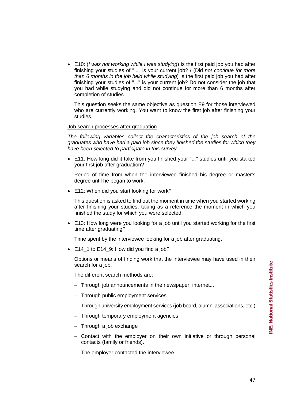• E10: (*I was not working while I was studying*) Is the first paid job you had after finishing your studies of "..." is your current job? / (Did *not continue for more than 6 months in the job held while studying*) Is the first paid job you had after finishing your studies of "..." is your current job? Do not consider the job that you had while studying and did not continue for more than 6 months after completion of studies

This question seeks the same objective as question E9 for those interviewed who are currently working. You want to know the first job after finishing your studies.

− Job search processes after graduation

*The following variables collect the characteristics of the job search of the graduates who have had a paid job since they finished the studies for which they have been selected to participate in this survey.*

• E11: How long did it take from you finished your "..." studies until you started your first job after graduation?

Period of time from when the interviewee finished his degree or master's degree until he began to work.

• E12: When did you start looking for work?

This question is asked to find out the moment in time when you started working after finishing your studies, taking as a reference the moment in which you finished the study for which you were selected.

• E13: How long were you looking for a job until you started working for the first time after graduating?

Time spent by the interviewee looking for a job after graduating.

• E14 1 to E14 9: How did you find a job?

Options or means of finding work that the interviewee may have used in their search for a job.

The different search methods are:

- − Through job announcements in the newspaper, internet...
- − Through public employment services
- − Through university employment services (job board, alumni associations, etc.)
- − Through temporary employment agencies
- − Through a job exchange
- − Contact with the employer on their own initiative or through personal contacts (family or friends).
- − The employer contacted the interviewee.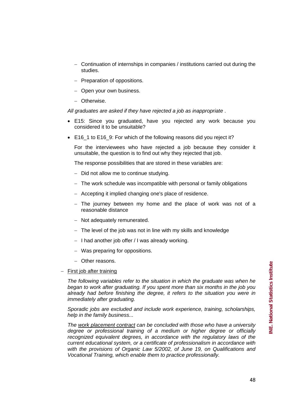- − Continuation of internships in companies / institutions carried out during the studies.
- − Preparation of oppositions.
- − Open your own business.
- − Otherwise.

*All graduates are asked if they have rejected a job as inappropriate* .

- E15: Since you graduated, have you rejected any work because you considered it to be unsuitable?
- E16\_1 to E16\_9: For which of the following reasons did you reject it?

For the interviewees who have rejected a job because they consider it unsuitable, the question is to find out why they rejected that job.

The response possibilities that are stored in these variables are:

- − Did not allow me to continue studying.
- − The work schedule was incompatible with personal or family obligations
- − Accepting it implied changing one's place of residence.
- − The journey between my home and the place of work was not of a reasonable distance
- − Not adequately remunerated.
- − The level of the job was not in line with my skills and knowledge
- − I had another job offer / I was already working.
- − Was preparing for oppositions.
- − Other reasons.
- First job after training

*The following variables refer to the situation in which the graduate was when he began to work after graduating. If you spent more than six months in the job you already had before finishing the degree, it refers to the situation you were in immediately after graduating.*

*Sporadic jobs are excluded and include work experience, training, scholarships, help in the family business...*

*The work placement contract can be concluded with those who have a university degree or professional training of a medium or higher degree or officially recognized equivalent degrees, in accordance with the regulatory laws of the current educational system, or a certificate of professionalism in accordance with with the provisions of Organic Law 5/2002, of June 19, on Qualifications and Vocational Training, which enable them to practice professionally.*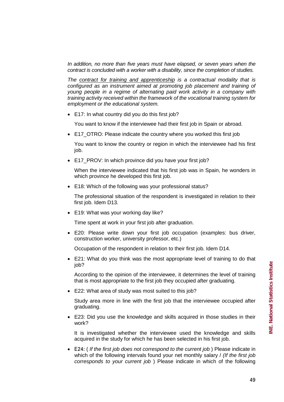*In addition, no more than five years must have elapsed, or seven years when the contract is concluded with a worker with a disability, since the completion of studies.*

*The contract for training and apprenticeship is a contractual modality that is configured as an instrument aimed at promoting job placement and training of young people in a regime of alternating paid work activity in a company with training activity received within the framework of the vocational training system for employment or the educational system.*

• E17: In what country did you do this first job?

You want to know if the interviewee had their first job in Spain or abroad.

• E17 OTRO: Please indicate the country where you worked this first job

You want to know the country or region in which the interviewee had his first job.

• E17 PROV: In which province did you have your first job?

When the interviewee indicated that his first job was in Spain, he wonders in which province he developed this first job.

• E18: Which of the following was your professional status?

The professional situation of the respondent is investigated in relation to their first job. Idem D13.

• E19: What was your working day like?

Time spent at work in your first job after graduation.

• E20: Please write down your first job occupation (examples: bus driver, construction worker, university professor, etc.)

Occupation of the respondent in relation to their first job. Idem D14.

• E21: What do you think was the most appropriate level of training to do that job?

According to the opinion of the interviewee, it determines the level of training that is most appropriate to the first job they occupied after graduating.

• E22: What area of study was most suited to this job?

Study area more in line with the first job that the interviewee occupied after graduating.

• E23: Did you use the knowledge and skills acquired in those studies in their work?

It is investigated whether the interviewee used the knowledge and skills acquired in the study for which he has been selected in his first job.

• E24: ( *If the first job does not correspond to the current job* ) Please indicate in which of the following intervals found your net monthly salary / *(If the first job corresponds to your current job* ) Please indicate in which of the following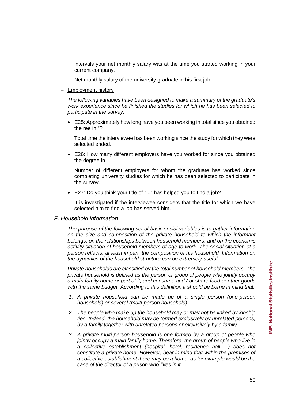NE. National Statistics Institute **INE. National Statistics Institute**

intervals your net monthly salary was at the time you started working in your current company.

Net monthly salary of the university graduate in his first job.

#### − Employment history

*The following variables have been designed to make a summary of the graduate's work experience since he finished the studies for which he has been selected to participate in the survey.*

• E25: Approximately how long have you been working in total since you obtained the ree in "?

Total time the interviewee has been working since the study for which they were selected ended.

• E26: How many different employers have you worked for since you obtained the degree in

Number of different employers for whom the graduate has worked since completing university studies for which he has been selected to participate in the survey.

• E27: Do you think your title of "..." has helped you to find a job?

It is investigated if the interviewee considers that the title for which we have selected him to find a job has served him.

#### *F. Household information*

*The purpose of the following set of basic social variables is to gather information on the size and composition of the private household to which the informant belongs, on the relationships between household members, and on the economic activity situation of household members of age to work. The social situation of a person reflects, at least in part, the composition of his household. Information on the dynamics of the household structure can be extremely useful.*

*Private households are classified by the total number of household members. The private household is defined as the person or group of people who jointly occupy a main family home or part of it, and consume and / or share food or other goods with the same budget. According to this definition it should be borne in mind that:*

- *1. A private household can be made up of a single person (one-person household) or several (multi-person household).*
- *2. The people who make up the household may or may not be linked by kinship ties. Indeed, the household may be formed exclusively by unrelated persons, by a family together with unrelated persons or exclusively by a family.*
- *3. A private multi-person household is one formed by a group of people who jointly occupy a main family home. Therefore, the group of people who live in a collective establishment (hospital, hotel, residence hall ...) does not constitute a private home. However, bear in mind that within the premises of a collective establishment there may be a home, as for example would be the case of the director of a prison who lives in it.*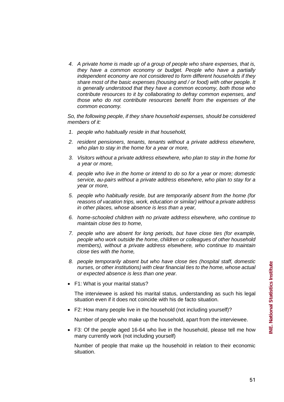*4. A private home is made up of a group of people who share expenses, that is, they have a common economy or budget. People who have a partially independent economy are not considered to form different households if they share most of the basic expenses (housing and / or food) with other people. It is generally understood that they have a common economy, both those who contribute resources to it by collaborating to defray common expenses, and those who do not contribute resources benefit from the expenses of the common economy.*

*So, the following people, if they share household expenses, should be considered members of it:*

- *1. people who habitually reside in that household,*
- *2. resident pensioners, tenants, tenants without a private address elsewhere, who plan to stay in the home for a year or more,*
- *3. Visitors without a private address elsewhere, who plan to stay in the home for a year or more,*
- *4. people who live in the home or intend to do so for a year or more; domestic service, au-pairs without a private address elsewhere, who plan to stay for a year or more,*
- *5. people who habitually reside, but are temporarily absent from the home (for reasons of vacation trips, work, education or similar) without a private address in other places, whose absence is less than a year,*
- *6. home-schooled children with no private address elsewhere, who continue to maintain close ties to home,*
- *7. people who are absent for long periods, but have close ties (for example, people who work outside the home, children or colleagues of other household members), without a private address elsewhere, who continue to maintain close ties with the home,*
- *8. people temporarily absent but who have close ties (hospital staff, domestic nurses, or other institutions) with clear financial ties to the home, whose actual or expected absence is less than one year.*
- F1: What is your marital status?

The interviewee is asked his marital status, understanding as such his legal situation even if it does not coincide with his de facto situation.

• F2: How many people live in the household (not including yourself)?

Number of people who make up the household, apart from the interviewee.

• F3: Of the people aged 16-64 who live in the household, please tell me how many currently work (not including yourself)

Number of people that make up the household in relation to their economic situation.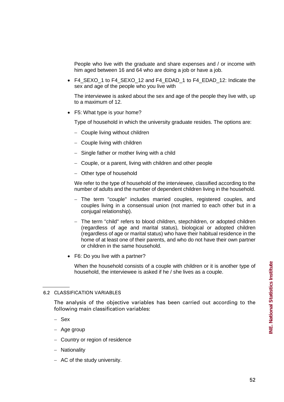People who live with the graduate and share expenses and / or income with him aged between 16 and 64 who are doing a job or have a job.

• F4 SEXO 1 to F4 SEXO 12 and F4 EDAD 1 to F4 EDAD 12: Indicate the sex and age of the people who you live with

The interviewee is asked about the sex and age of the people they live with, up to a maximum of 12.

• F5: What type is your home?

Type of household in which the university graduate resides. The options are:

- − Couple living without children
- − Couple living with children
- − Single father or mother living with a child
- − Couple, or a parent, living with children and other people
- − Other type of household

We refer to the type of household of the interviewee, classified according to the number of adults and the number of dependent children living in the household.

- − The term "couple" includes married couples, registered couples, and couples living in a consensual union (not married to each other but in a conjugal relationship).
- − The term "child" refers to blood children, stepchildren, or adopted children (regardless of age and marital status), biological or adopted children (regardless of age or marital status) who have their habitual residence in the home of at least one of their parents, and who do not have their own partner or children in the same household.
- F6: Do you live with a partner?

When the household consists of a couple with children or it is another type of household, the interviewee is asked if he / she lives as a couple.

#### 6.2 CLASSIFICATION VARIABLES

The analysis of the objective variables has been carried out according to the following main classification variables:

- − Sex
- − Age group
- − Country or region of residence
- − Nationality
- − AC of the study university.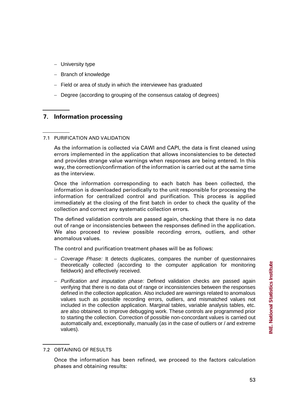- − University type
- − Branch of knowledge
- − Field or area of study in which the interviewee has graduated
- − Degree (according to grouping of the consensus catalog of degrees)

# **7. Information processing**

# 7.1 PURIFICATION AND VALIDATION

As the information is collected via CAWI and CAPI, the data is first cleaned using errors implemented in the application that allows inconsistencies to be detected and provides strange value warnings when responses are being entered. In this way, the correction/confirmation of the information is carried out at the same time as the interview.

Once the information corresponding to each batch has been collected, the information is downloaded periodically to the unit responsible for processing the information for centralized control and purification. This process is applied immediately at the closing of the first batch in order to check the quality of the collection and correct any systematic collection errors.

The defined validation controls are passed again, checking that there is no data out of range or inconsistencies between the responses defined in the application. We also proceed to review possible recording errors, outliers, and other anomalous values.

The control and purification treatment phases will be as follows:

- − *Coverage Phase:* It detects duplicates, compares the number of questionnaires theoretically collected (according to the computer application for monitoring fieldwork) and effectively received.
- − *Purification and imputation phase:* Defined validation checks are passed again verifying that there is no data out of range or inconsistencies between the responses defined in the collection application. Also included are warnings related to anomalous values such as possible recording errors, outliers, and mismatched values not included in the collection application. Marginal tables, variable analysis tables, etc. are also obtained. to improve debugging work. These controls are programmed prior to starting the collection. Correction of possible non-concordant values is carried out automatically and, exceptionally, manually (as in the case of outliers or / and extreme values).

<sup>7.2</sup> OBTAINING OF RESULTS

Once the information has been refined, we proceed to the factors calculation phases and obtaining results: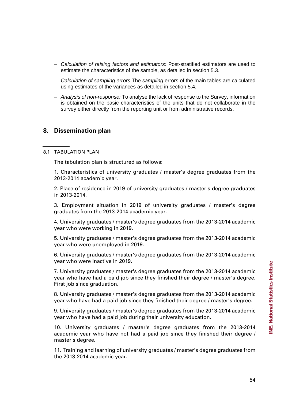- − *Calculation of raising factors and estimators:* Post-stratified estimators are used to estimate the characteristics of the sample, as detailed in section 5.3.
- − *Calculation of sampling errors* The *sampling* errors of the main tables are calculated using estimates of the variances as detailed in section 5.4.
- − *Analysis of non-response:* To analyse the lack of response to the Survey, information is obtained on the basic characteristics of the units that do not collaborate in the survey either directly from the reporting unit or from administrative records.

# **8. Dissemination plan**

#### 8.1 TABULATION PLAN

The tabulation plan is structured as follows:

1. Characteristics of university graduates / master's degree graduates from the 2013-2014 academic year.

2. Place of residence in 2019 of university graduates / master's degree graduates in 2013-2014.

3. Employment situation in 2019 of university graduates / master's degree graduates from the 2013-2014 academic year.

4. University graduates / master's degree graduates from the 2013-2014 academic year who were working in 2019.

5. University graduates / master's degree graduates from the 2013-2014 academic year who were unemployed in 2019.

6. University graduates / master's degree graduates from the 2013-2014 academic year who were inactive in 2019.

7. University graduates / master's degree graduates from the 2013-2014 academic year who have had a paid job since they finished their degree / master's degree. First job since graduation.

8. University graduates / master's degree graduates from the 2013-2014 academic year who have had a paid job since they finished their degree / master's degree.

9. University graduates / master's degree graduates from the 2013-2014 academic year who have had a paid job during their university education.

10. University graduates / master's degree graduates from the 2013-2014 academic year who have not had a paid job since they finished their degree / master's degree.

11. Training and learning of university graduates / master's degree graduates from the 2013-2014 academic year.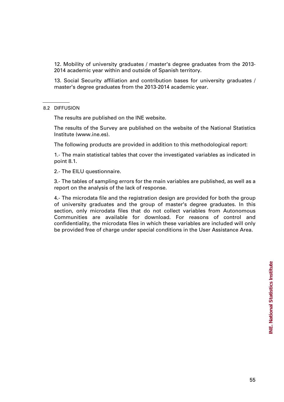12. Mobility of university graduates / master's degree graduates from the 2013- 2014 academic year within and outside of Spanish territory.

13. Social Security affiliation and contribution bases for university graduates / master's degree graduates from the 2013-2014 academic year.

#### 8.2 DIFFUSION

The results are published on the INE website.

The results of the Survey are published on the website of the National Statistics Institute (www.ine.es).

The following products are provided in addition to this methodological report:

1.- The main statistical tables that cover the investigated variables as indicated in point 8.1.

2.- The EILU questionnaire.

3.- The tables of sampling errors for the main variables are published, as well as a report on the analysis of the lack of response.

4.- The microdata file and the registration design are provided for both the group of university graduates and the group of master's degree graduates. In this section, only microdata files that do not collect variables from Autonomous Communities are available for download. For reasons of control and confidentiality, the microdata files in which these variables are included will only be provided free of charge under special conditions in the User Assistance Area.